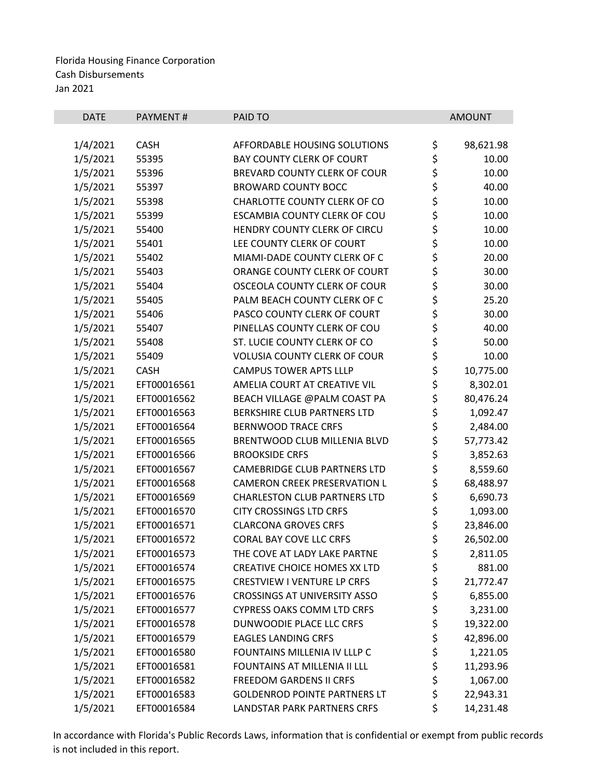| <b>DATE</b> | PAYMENT#    | PAID TO                             |             | <b>AMOUNT</b> |
|-------------|-------------|-------------------------------------|-------------|---------------|
|             |             |                                     |             |               |
| 1/4/2021    | <b>CASH</b> | AFFORDABLE HOUSING SOLUTIONS        | \$          | 98,621.98     |
| 1/5/2021    | 55395       | <b>BAY COUNTY CLERK OF COURT</b>    | \$          | 10.00         |
| 1/5/2021    | 55396       | BREVARD COUNTY CLERK OF COUR        | \$\$\$      | 10.00         |
| 1/5/2021    | 55397       | <b>BROWARD COUNTY BOCC</b>          |             | 40.00         |
| 1/5/2021    | 55398       | CHARLOTTE COUNTY CLERK OF CO        |             | 10.00         |
| 1/5/2021    | 55399       | ESCAMBIA COUNTY CLERK OF COU        |             | 10.00         |
| 1/5/2021    | 55400       | HENDRY COUNTY CLERK OF CIRCU        |             | 10.00         |
| 1/5/2021    | 55401       | LEE COUNTY CLERK OF COURT           | ちらさ         | 10.00         |
| 1/5/2021    | 55402       | MIAMI-DADE COUNTY CLERK OF C        |             | 20.00         |
| 1/5/2021    | 55403       | ORANGE COUNTY CLERK OF COURT        | \$          | 30.00         |
| 1/5/2021    | 55404       | OSCEOLA COUNTY CLERK OF COUR        |             | 30.00         |
| 1/5/2021    | 55405       | PALM BEACH COUNTY CLERK OF C        |             | 25.20         |
| 1/5/2021    | 55406       | PASCO COUNTY CLERK OF COURT         | ややみ やや      | 30.00         |
| 1/5/2021    | 55407       | PINELLAS COUNTY CLERK OF COU        |             | 40.00         |
| 1/5/2021    | 55408       | ST. LUCIE COUNTY CLERK OF CO        |             | 50.00         |
| 1/5/2021    | 55409       | <b>VOLUSIA COUNTY CLERK OF COUR</b> |             | 10.00         |
| 1/5/2021    | <b>CASH</b> | <b>CAMPUS TOWER APTS LLLP</b>       | \$\$\$      | 10,775.00     |
| 1/5/2021    | EFT00016561 | AMELIA COURT AT CREATIVE VIL        |             | 8,302.01      |
| 1/5/2021    | EFT00016562 | BEACH VILLAGE @PALM COAST PA        |             | 80,476.24     |
| 1/5/2021    | EFT00016563 | BERKSHIRE CLUB PARTNERS LTD         | ちらら         | 1,092.47      |
| 1/5/2021    | EFT00016564 | <b>BERNWOOD TRACE CRFS</b>          |             | 2,484.00      |
| 1/5/2021    | EFT00016565 | BRENTWOOD CLUB MILLENIA BLVD        |             | 57,773.42     |
| 1/5/2021    | EFT00016566 | <b>BROOKSIDE CRFS</b>               | \$          | 3,852.63      |
| 1/5/2021    | EFT00016567 | <b>CAMEBRIDGE CLUB PARTNERS LTD</b> |             | 8,559.60      |
| 1/5/2021    | EFT00016568 | <b>CAMERON CREEK PRESERVATION L</b> |             | 68,488.97     |
| 1/5/2021    | EFT00016569 | <b>CHARLESTON CLUB PARTNERS LTD</b> |             | 6,690.73      |
| 1/5/2021    | EFT00016570 | <b>CITY CROSSINGS LTD CRFS</b>      | \$ \$ \$ \$ | 1,093.00      |
| 1/5/2021    | EFT00016571 | <b>CLARCONA GROVES CRFS</b>         | \$          | 23,846.00     |
| 1/5/2021    | EFT00016572 | <b>CORAL BAY COVE LLC CRFS</b>      | \$          | 26,502.00     |
| 1/5/2021    | EFT00016573 | THE COVE AT LADY LAKE PARTNE        | \$          | 2,811.05      |
| 1/5/2021    | EFT00016574 | <b>CREATIVE CHOICE HOMES XX LTD</b> | \$          | 881.00        |
| 1/5/2021    | EFT00016575 | <b>CRESTVIEW I VENTURE LP CRFS</b>  | \$          | 21,772.47     |
| 1/5/2021    | EFT00016576 | <b>CROSSINGS AT UNIVERSITY ASSO</b> | \$          | 6,855.00      |
| 1/5/2021    | EFT00016577 | <b>CYPRESS OAKS COMM LTD CRFS</b>   |             | 3,231.00      |
| 1/5/2021    | EFT00016578 | DUNWOODIE PLACE LLC CRFS            | \$<br>\$    | 19,322.00     |
| 1/5/2021    | EFT00016579 | <b>EAGLES LANDING CRFS</b>          |             | 42,896.00     |
| 1/5/2021    | EFT00016580 | FOUNTAINS MILLENIA IV LLLP C        | \$<br>\$    | 1,221.05      |
| 1/5/2021    | EFT00016581 | FOUNTAINS AT MILLENIA II LLL        | \$          | 11,293.96     |
| 1/5/2021    | EFT00016582 | <b>FREEDOM GARDENS II CRFS</b>      | \$          | 1,067.00      |
| 1/5/2021    | EFT00016583 | <b>GOLDENROD POINTE PARTNERS LT</b> | \$          | 22,943.31     |
| 1/5/2021    | EFT00016584 | LANDSTAR PARK PARTNERS CRFS         | \$          | 14,231.48     |
|             |             |                                     |             |               |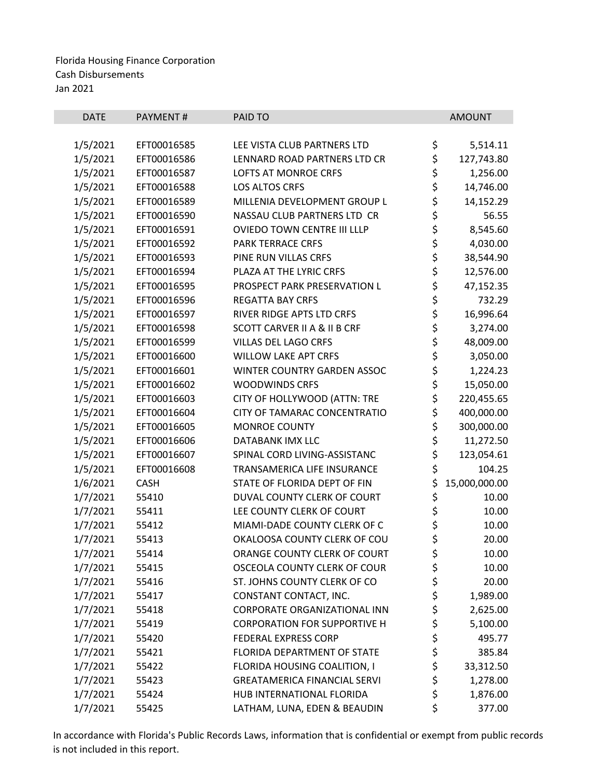| <b>DATE</b> | <b>PAYMENT#</b> | PAID TO                                 |          | <b>AMOUNT</b> |
|-------------|-----------------|-----------------------------------------|----------|---------------|
|             |                 |                                         |          |               |
| 1/5/2021    | EFT00016585     | LEE VISTA CLUB PARTNERS LTD             | \$       | 5,514.11      |
| 1/5/2021    | EFT00016586     | LENNARD ROAD PARTNERS LTD CR            | \$       | 127,743.80    |
| 1/5/2021    | EFT00016587     | LOFTS AT MONROE CRFS                    | \$       | 1,256.00      |
| 1/5/2021    | EFT00016588     | LOS ALTOS CRFS                          | \$       | 14,746.00     |
| 1/5/2021    | EFT00016589     | MILLENIA DEVELOPMENT GROUP L            | \$       | 14,152.29     |
| 1/5/2021    | EFT00016590     | NASSAU CLUB PARTNERS LTD CR             | \$<br>\$ | 56.55         |
| 1/5/2021    | EFT00016591     | OVIEDO TOWN CENTRE III LLLP             |          | 8,545.60      |
| 1/5/2021    | EFT00016592     | <b>PARK TERRACE CRFS</b>                |          | 4,030.00      |
| 1/5/2021    | EFT00016593     | PINE RUN VILLAS CRFS                    | \$<br>\$ | 38,544.90     |
| 1/5/2021    | EFT00016594     | PLAZA AT THE LYRIC CRFS                 | \$\$\$   | 12,576.00     |
| 1/5/2021    | EFT00016595     | PROSPECT PARK PRESERVATION L            |          | 47,152.35     |
| 1/5/2021    | EFT00016596     | <b>REGATTA BAY CRFS</b>                 |          | 732.29        |
| 1/5/2021    | EFT00016597     | RIVER RIDGE APTS LTD CRFS               | \$       | 16,996.64     |
| 1/5/2021    | EFT00016598     | <b>SCOTT CARVER II A &amp; II B CRF</b> | \$       | 3,274.00      |
| 1/5/2021    | EFT00016599     | VILLAS DEL LAGO CRFS                    | \$       | 48,009.00     |
| 1/5/2021    | EFT00016600     | <b>WILLOW LAKE APT CRFS</b>             | \$<br>\$ | 3,050.00      |
| 1/5/2021    | EFT00016601     | WINTER COUNTRY GARDEN ASSOC             |          | 1,224.23      |
| 1/5/2021    | EFT00016602     | <b>WOODWINDS CRFS</b>                   | \$       | 15,050.00     |
| 1/5/2021    | EFT00016603     | CITY OF HOLLYWOOD (ATTN: TRE            | \$       | 220,455.65    |
| 1/5/2021    | EFT00016604     | CITY OF TAMARAC CONCENTRATIO            | \$       | 400,000.00    |
| 1/5/2021    | EFT00016605     | <b>MONROE COUNTY</b>                    | \$       | 300,000.00    |
| 1/5/2021    | EFT00016606     | DATABANK IMX LLC                        | \$       | 11,272.50     |
| 1/5/2021    | EFT00016607     | SPINAL CORD LIVING-ASSISTANC            | \$       | 123,054.61    |
| 1/5/2021    | EFT00016608     | TRANSAMERICA LIFE INSURANCE             | \$       | 104.25        |
| 1/6/2021    | <b>CASH</b>     | STATE OF FLORIDA DEPT OF FIN            | \$       | 15,000,000.00 |
| 1/7/2021    | 55410           | DUVAL COUNTY CLERK OF COURT             | \$       | 10.00         |
| 1/7/2021    | 55411           | LEE COUNTY CLERK OF COURT               | \$       | 10.00         |
| 1/7/2021    | 55412           | MIAMI-DADE COUNTY CLERK OF C            | \$       | 10.00         |
| 1/7/2021    | 55413           | OKALOOSA COUNTY CLERK OF COU            | \$       | 20.00         |
| 1/7/2021    | 55414           | ORANGE COUNTY CLERK OF COURT            | \$       | 10.00         |
| 1/7/2021    | 55415           | OSCEOLA COUNTY CLERK OF COUR            | \$       | 10.00         |
| 1/7/2021    | 55416           | ST. JOHNS COUNTY CLERK OF CO            | \$       | 20.00         |
| 1/7/2021    | 55417           | CONSTANT CONTACT, INC.                  | \$       | 1,989.00      |
| 1/7/2021    | 55418           | CORPORATE ORGANIZATIONAL INN            | \$       | 2,625.00      |
| 1/7/2021    | 55419           | <b>CORPORATION FOR SUPPORTIVE H</b>     | \$       | 5,100.00      |
| 1/7/2021    | 55420           | <b>FEDERAL EXPRESS CORP</b>             | \$<br>\$ | 495.77        |
| 1/7/2021    | 55421           | FLORIDA DEPARTMENT OF STATE             |          | 385.84        |
| 1/7/2021    | 55422           | FLORIDA HOUSING COALITION, I            | \$       | 33,312.50     |
| 1/7/2021    | 55423           | <b>GREATAMERICA FINANCIAL SERVI</b>     | \$       | 1,278.00      |
| 1/7/2021    | 55424           | HUB INTERNATIONAL FLORIDA               | \$       | 1,876.00      |
| 1/7/2021    | 55425           | LATHAM, LUNA, EDEN & BEAUDIN            | \$       | 377.00        |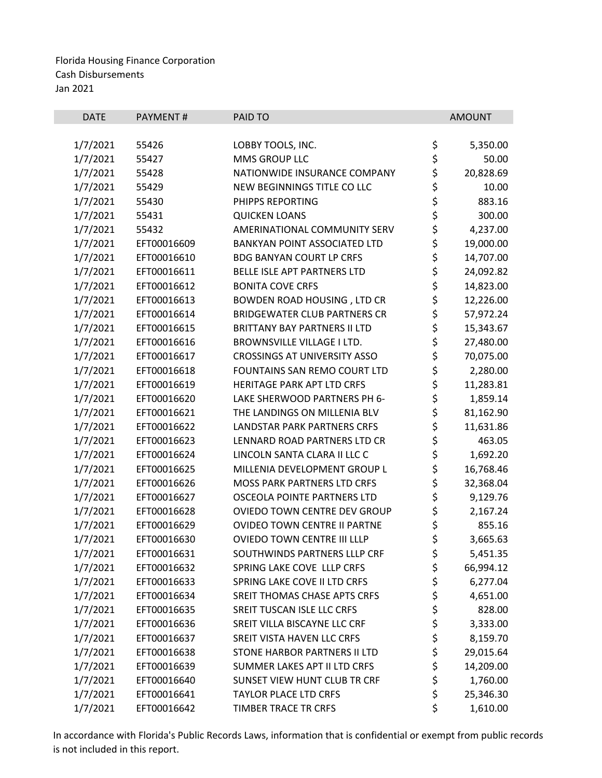| \$<br>1/7/2021<br>55426<br>LOBBY TOOLS, INC.<br>5,350.00<br>\$<br>1/7/2021<br>55427<br>MMS GROUP LLC<br>50.00<br>\$<br>1/7/2021<br>20,828.69<br>55428<br>NATIONWIDE INSURANCE COMPANY<br>\$<br>1/7/2021<br>55429<br>NEW BEGINNINGS TITLE CO LLC<br>10.00<br>\$<br>1/7/2021<br>883.16<br>55430<br>PHIPPS REPORTING<br>\$<br>\$<br>1/7/2021<br>300.00<br>55431<br><b>QUICKEN LOANS</b><br>1/7/2021<br>55432<br>AMERINATIONAL COMMUNITY SERV<br>4,237.00<br>\$<br>1/7/2021<br><b>BANKYAN POINT ASSOCIATED LTD</b><br>19,000.00<br>EFT00016609<br>\$<br>1/7/2021<br>EFT00016610<br><b>BDG BANYAN COURT LP CRFS</b><br>14,707.00<br>\$<br>1/7/2021<br>EFT00016611<br>BELLE ISLE APT PARTNERS LTD<br>24,092.82<br>\$<br>1/7/2021<br><b>BONITA COVE CRFS</b><br>EFT00016612<br>14,823.00<br>\$<br>1/7/2021<br>EFT00016613<br><b>BOWDEN ROAD HOUSING, LTD CR</b><br>12,226.00<br>\$<br>1/7/2021<br>EFT00016614<br><b>BRIDGEWATER CLUB PARTNERS CR</b><br>57,972.24<br>\$<br>1/7/2021<br>EFT00016615<br><b>BRITTANY BAY PARTNERS II LTD</b><br>15,343.67<br>\$<br>1/7/2021<br>EFT00016616<br><b>BROWNSVILLE VILLAGE I LTD.</b><br>27,480.00<br>\$<br>1/7/2021<br>70,075.00<br>EFT00016617<br><b>CROSSINGS AT UNIVERSITY ASSO</b><br>\$<br>1/7/2021<br>EFT00016618<br>FOUNTAINS SAN REMO COURT LTD<br>2,280.00<br>\$<br>1/7/2021<br>EFT00016619<br><b>HERITAGE PARK APT LTD CRFS</b><br>11,283.81<br>\$<br>\$<br>1/7/2021<br>EFT00016620<br>LAKE SHERWOOD PARTNERS PH 6-<br>1,859.14<br>81,162.90<br>1/7/2021<br>EFT00016621<br>THE LANDINGS ON MILLENIA BLV<br>\$<br>1/7/2021<br>11,631.86<br>EFT00016622<br><b>LANDSTAR PARK PARTNERS CRFS</b><br>\$<br>1/7/2021<br>EFT00016623<br>LENNARD ROAD PARTNERS LTD CR<br>463.05<br>\$<br>1/7/2021<br>EFT00016624<br>LINCOLN SANTA CLARA II LLC C<br>1,692.20<br>\$<br>1/7/2021<br>EFT00016625<br>MILLENIA DEVELOPMENT GROUP L<br>16,768.46<br>\$<br>32,368.04<br>1/7/2021<br>EFT00016626<br><b>MOSS PARK PARTNERS LTD CRFS</b><br>\$<br>1/7/2021<br>EFT00016627<br>OSCEOLA POINTE PARTNERS LTD<br>9,129.76<br>\$<br>1/7/2021<br>EFT00016628<br>OVIEDO TOWN CENTRE DEV GROUP<br>2,167.24<br>\$<br>1/7/2021<br>EFT00016629<br>OVIDEO TOWN CENTRE II PARTNE<br>855.16<br>\$<br>1/7/2021<br>EFT00016630<br>OVIEDO TOWN CENTRE III LLLP<br>3,665.63<br>SOUTHWINDS PARTNERS LLLP CRF<br>\$<br>5,451.35<br>1/7/2021<br>EFT00016631<br>\$<br>1/7/2021<br>SPRING LAKE COVE LLLP CRFS<br>66,994.12<br>EFT00016632<br>\$<br>1/7/2021<br>SPRING LAKE COVE II LTD CRFS<br>6,277.04<br>EFT00016633<br>\$<br>1/7/2021<br>EFT00016634<br>SREIT THOMAS CHASE APTS CRFS<br>4,651.00<br>\$<br>1/7/2021<br>SREIT TUSCAN ISLE LLC CRFS<br>828.00<br>EFT00016635<br>\$<br>1/7/2021<br>EFT00016636<br>SREIT VILLA BISCAYNE LLC CRF<br>3,333.00 | <b>DATE</b> | PAYMENT# | PAID TO                    | <b>AMOUNT</b> |
|-----------------------------------------------------------------------------------------------------------------------------------------------------------------------------------------------------------------------------------------------------------------------------------------------------------------------------------------------------------------------------------------------------------------------------------------------------------------------------------------------------------------------------------------------------------------------------------------------------------------------------------------------------------------------------------------------------------------------------------------------------------------------------------------------------------------------------------------------------------------------------------------------------------------------------------------------------------------------------------------------------------------------------------------------------------------------------------------------------------------------------------------------------------------------------------------------------------------------------------------------------------------------------------------------------------------------------------------------------------------------------------------------------------------------------------------------------------------------------------------------------------------------------------------------------------------------------------------------------------------------------------------------------------------------------------------------------------------------------------------------------------------------------------------------------------------------------------------------------------------------------------------------------------------------------------------------------------------------------------------------------------------------------------------------------------------------------------------------------------------------------------------------------------------------------------------------------------------------------------------------------------------------------------------------------------------------------------------------------------------------------------------------------------------------------------------------------------------------------------------------------------------------------------------------------------------------------------------------------------------------------------------------------------------------------------------------------------------------------------------------------------|-------------|----------|----------------------------|---------------|
|                                                                                                                                                                                                                                                                                                                                                                                                                                                                                                                                                                                                                                                                                                                                                                                                                                                                                                                                                                                                                                                                                                                                                                                                                                                                                                                                                                                                                                                                                                                                                                                                                                                                                                                                                                                                                                                                                                                                                                                                                                                                                                                                                                                                                                                                                                                                                                                                                                                                                                                                                                                                                                                                                                                                                           |             |          |                            |               |
|                                                                                                                                                                                                                                                                                                                                                                                                                                                                                                                                                                                                                                                                                                                                                                                                                                                                                                                                                                                                                                                                                                                                                                                                                                                                                                                                                                                                                                                                                                                                                                                                                                                                                                                                                                                                                                                                                                                                                                                                                                                                                                                                                                                                                                                                                                                                                                                                                                                                                                                                                                                                                                                                                                                                                           |             |          |                            |               |
|                                                                                                                                                                                                                                                                                                                                                                                                                                                                                                                                                                                                                                                                                                                                                                                                                                                                                                                                                                                                                                                                                                                                                                                                                                                                                                                                                                                                                                                                                                                                                                                                                                                                                                                                                                                                                                                                                                                                                                                                                                                                                                                                                                                                                                                                                                                                                                                                                                                                                                                                                                                                                                                                                                                                                           |             |          |                            |               |
|                                                                                                                                                                                                                                                                                                                                                                                                                                                                                                                                                                                                                                                                                                                                                                                                                                                                                                                                                                                                                                                                                                                                                                                                                                                                                                                                                                                                                                                                                                                                                                                                                                                                                                                                                                                                                                                                                                                                                                                                                                                                                                                                                                                                                                                                                                                                                                                                                                                                                                                                                                                                                                                                                                                                                           |             |          |                            |               |
|                                                                                                                                                                                                                                                                                                                                                                                                                                                                                                                                                                                                                                                                                                                                                                                                                                                                                                                                                                                                                                                                                                                                                                                                                                                                                                                                                                                                                                                                                                                                                                                                                                                                                                                                                                                                                                                                                                                                                                                                                                                                                                                                                                                                                                                                                                                                                                                                                                                                                                                                                                                                                                                                                                                                                           |             |          |                            |               |
|                                                                                                                                                                                                                                                                                                                                                                                                                                                                                                                                                                                                                                                                                                                                                                                                                                                                                                                                                                                                                                                                                                                                                                                                                                                                                                                                                                                                                                                                                                                                                                                                                                                                                                                                                                                                                                                                                                                                                                                                                                                                                                                                                                                                                                                                                                                                                                                                                                                                                                                                                                                                                                                                                                                                                           |             |          |                            |               |
|                                                                                                                                                                                                                                                                                                                                                                                                                                                                                                                                                                                                                                                                                                                                                                                                                                                                                                                                                                                                                                                                                                                                                                                                                                                                                                                                                                                                                                                                                                                                                                                                                                                                                                                                                                                                                                                                                                                                                                                                                                                                                                                                                                                                                                                                                                                                                                                                                                                                                                                                                                                                                                                                                                                                                           |             |          |                            |               |
|                                                                                                                                                                                                                                                                                                                                                                                                                                                                                                                                                                                                                                                                                                                                                                                                                                                                                                                                                                                                                                                                                                                                                                                                                                                                                                                                                                                                                                                                                                                                                                                                                                                                                                                                                                                                                                                                                                                                                                                                                                                                                                                                                                                                                                                                                                                                                                                                                                                                                                                                                                                                                                                                                                                                                           |             |          |                            |               |
|                                                                                                                                                                                                                                                                                                                                                                                                                                                                                                                                                                                                                                                                                                                                                                                                                                                                                                                                                                                                                                                                                                                                                                                                                                                                                                                                                                                                                                                                                                                                                                                                                                                                                                                                                                                                                                                                                                                                                                                                                                                                                                                                                                                                                                                                                                                                                                                                                                                                                                                                                                                                                                                                                                                                                           |             |          |                            |               |
|                                                                                                                                                                                                                                                                                                                                                                                                                                                                                                                                                                                                                                                                                                                                                                                                                                                                                                                                                                                                                                                                                                                                                                                                                                                                                                                                                                                                                                                                                                                                                                                                                                                                                                                                                                                                                                                                                                                                                                                                                                                                                                                                                                                                                                                                                                                                                                                                                                                                                                                                                                                                                                                                                                                                                           |             |          |                            |               |
|                                                                                                                                                                                                                                                                                                                                                                                                                                                                                                                                                                                                                                                                                                                                                                                                                                                                                                                                                                                                                                                                                                                                                                                                                                                                                                                                                                                                                                                                                                                                                                                                                                                                                                                                                                                                                                                                                                                                                                                                                                                                                                                                                                                                                                                                                                                                                                                                                                                                                                                                                                                                                                                                                                                                                           |             |          |                            |               |
|                                                                                                                                                                                                                                                                                                                                                                                                                                                                                                                                                                                                                                                                                                                                                                                                                                                                                                                                                                                                                                                                                                                                                                                                                                                                                                                                                                                                                                                                                                                                                                                                                                                                                                                                                                                                                                                                                                                                                                                                                                                                                                                                                                                                                                                                                                                                                                                                                                                                                                                                                                                                                                                                                                                                                           |             |          |                            |               |
|                                                                                                                                                                                                                                                                                                                                                                                                                                                                                                                                                                                                                                                                                                                                                                                                                                                                                                                                                                                                                                                                                                                                                                                                                                                                                                                                                                                                                                                                                                                                                                                                                                                                                                                                                                                                                                                                                                                                                                                                                                                                                                                                                                                                                                                                                                                                                                                                                                                                                                                                                                                                                                                                                                                                                           |             |          |                            |               |
|                                                                                                                                                                                                                                                                                                                                                                                                                                                                                                                                                                                                                                                                                                                                                                                                                                                                                                                                                                                                                                                                                                                                                                                                                                                                                                                                                                                                                                                                                                                                                                                                                                                                                                                                                                                                                                                                                                                                                                                                                                                                                                                                                                                                                                                                                                                                                                                                                                                                                                                                                                                                                                                                                                                                                           |             |          |                            |               |
|                                                                                                                                                                                                                                                                                                                                                                                                                                                                                                                                                                                                                                                                                                                                                                                                                                                                                                                                                                                                                                                                                                                                                                                                                                                                                                                                                                                                                                                                                                                                                                                                                                                                                                                                                                                                                                                                                                                                                                                                                                                                                                                                                                                                                                                                                                                                                                                                                                                                                                                                                                                                                                                                                                                                                           |             |          |                            |               |
|                                                                                                                                                                                                                                                                                                                                                                                                                                                                                                                                                                                                                                                                                                                                                                                                                                                                                                                                                                                                                                                                                                                                                                                                                                                                                                                                                                                                                                                                                                                                                                                                                                                                                                                                                                                                                                                                                                                                                                                                                                                                                                                                                                                                                                                                                                                                                                                                                                                                                                                                                                                                                                                                                                                                                           |             |          |                            |               |
|                                                                                                                                                                                                                                                                                                                                                                                                                                                                                                                                                                                                                                                                                                                                                                                                                                                                                                                                                                                                                                                                                                                                                                                                                                                                                                                                                                                                                                                                                                                                                                                                                                                                                                                                                                                                                                                                                                                                                                                                                                                                                                                                                                                                                                                                                                                                                                                                                                                                                                                                                                                                                                                                                                                                                           |             |          |                            |               |
|                                                                                                                                                                                                                                                                                                                                                                                                                                                                                                                                                                                                                                                                                                                                                                                                                                                                                                                                                                                                                                                                                                                                                                                                                                                                                                                                                                                                                                                                                                                                                                                                                                                                                                                                                                                                                                                                                                                                                                                                                                                                                                                                                                                                                                                                                                                                                                                                                                                                                                                                                                                                                                                                                                                                                           |             |          |                            |               |
|                                                                                                                                                                                                                                                                                                                                                                                                                                                                                                                                                                                                                                                                                                                                                                                                                                                                                                                                                                                                                                                                                                                                                                                                                                                                                                                                                                                                                                                                                                                                                                                                                                                                                                                                                                                                                                                                                                                                                                                                                                                                                                                                                                                                                                                                                                                                                                                                                                                                                                                                                                                                                                                                                                                                                           |             |          |                            |               |
|                                                                                                                                                                                                                                                                                                                                                                                                                                                                                                                                                                                                                                                                                                                                                                                                                                                                                                                                                                                                                                                                                                                                                                                                                                                                                                                                                                                                                                                                                                                                                                                                                                                                                                                                                                                                                                                                                                                                                                                                                                                                                                                                                                                                                                                                                                                                                                                                                                                                                                                                                                                                                                                                                                                                                           |             |          |                            |               |
|                                                                                                                                                                                                                                                                                                                                                                                                                                                                                                                                                                                                                                                                                                                                                                                                                                                                                                                                                                                                                                                                                                                                                                                                                                                                                                                                                                                                                                                                                                                                                                                                                                                                                                                                                                                                                                                                                                                                                                                                                                                                                                                                                                                                                                                                                                                                                                                                                                                                                                                                                                                                                                                                                                                                                           |             |          |                            |               |
|                                                                                                                                                                                                                                                                                                                                                                                                                                                                                                                                                                                                                                                                                                                                                                                                                                                                                                                                                                                                                                                                                                                                                                                                                                                                                                                                                                                                                                                                                                                                                                                                                                                                                                                                                                                                                                                                                                                                                                                                                                                                                                                                                                                                                                                                                                                                                                                                                                                                                                                                                                                                                                                                                                                                                           |             |          |                            |               |
|                                                                                                                                                                                                                                                                                                                                                                                                                                                                                                                                                                                                                                                                                                                                                                                                                                                                                                                                                                                                                                                                                                                                                                                                                                                                                                                                                                                                                                                                                                                                                                                                                                                                                                                                                                                                                                                                                                                                                                                                                                                                                                                                                                                                                                                                                                                                                                                                                                                                                                                                                                                                                                                                                                                                                           |             |          |                            |               |
|                                                                                                                                                                                                                                                                                                                                                                                                                                                                                                                                                                                                                                                                                                                                                                                                                                                                                                                                                                                                                                                                                                                                                                                                                                                                                                                                                                                                                                                                                                                                                                                                                                                                                                                                                                                                                                                                                                                                                                                                                                                                                                                                                                                                                                                                                                                                                                                                                                                                                                                                                                                                                                                                                                                                                           |             |          |                            |               |
|                                                                                                                                                                                                                                                                                                                                                                                                                                                                                                                                                                                                                                                                                                                                                                                                                                                                                                                                                                                                                                                                                                                                                                                                                                                                                                                                                                                                                                                                                                                                                                                                                                                                                                                                                                                                                                                                                                                                                                                                                                                                                                                                                                                                                                                                                                                                                                                                                                                                                                                                                                                                                                                                                                                                                           |             |          |                            |               |
|                                                                                                                                                                                                                                                                                                                                                                                                                                                                                                                                                                                                                                                                                                                                                                                                                                                                                                                                                                                                                                                                                                                                                                                                                                                                                                                                                                                                                                                                                                                                                                                                                                                                                                                                                                                                                                                                                                                                                                                                                                                                                                                                                                                                                                                                                                                                                                                                                                                                                                                                                                                                                                                                                                                                                           |             |          |                            |               |
|                                                                                                                                                                                                                                                                                                                                                                                                                                                                                                                                                                                                                                                                                                                                                                                                                                                                                                                                                                                                                                                                                                                                                                                                                                                                                                                                                                                                                                                                                                                                                                                                                                                                                                                                                                                                                                                                                                                                                                                                                                                                                                                                                                                                                                                                                                                                                                                                                                                                                                                                                                                                                                                                                                                                                           |             |          |                            |               |
|                                                                                                                                                                                                                                                                                                                                                                                                                                                                                                                                                                                                                                                                                                                                                                                                                                                                                                                                                                                                                                                                                                                                                                                                                                                                                                                                                                                                                                                                                                                                                                                                                                                                                                                                                                                                                                                                                                                                                                                                                                                                                                                                                                                                                                                                                                                                                                                                                                                                                                                                                                                                                                                                                                                                                           |             |          |                            |               |
|                                                                                                                                                                                                                                                                                                                                                                                                                                                                                                                                                                                                                                                                                                                                                                                                                                                                                                                                                                                                                                                                                                                                                                                                                                                                                                                                                                                                                                                                                                                                                                                                                                                                                                                                                                                                                                                                                                                                                                                                                                                                                                                                                                                                                                                                                                                                                                                                                                                                                                                                                                                                                                                                                                                                                           |             |          |                            |               |
|                                                                                                                                                                                                                                                                                                                                                                                                                                                                                                                                                                                                                                                                                                                                                                                                                                                                                                                                                                                                                                                                                                                                                                                                                                                                                                                                                                                                                                                                                                                                                                                                                                                                                                                                                                                                                                                                                                                                                                                                                                                                                                                                                                                                                                                                                                                                                                                                                                                                                                                                                                                                                                                                                                                                                           |             |          |                            |               |
|                                                                                                                                                                                                                                                                                                                                                                                                                                                                                                                                                                                                                                                                                                                                                                                                                                                                                                                                                                                                                                                                                                                                                                                                                                                                                                                                                                                                                                                                                                                                                                                                                                                                                                                                                                                                                                                                                                                                                                                                                                                                                                                                                                                                                                                                                                                                                                                                                                                                                                                                                                                                                                                                                                                                                           |             |          |                            |               |
|                                                                                                                                                                                                                                                                                                                                                                                                                                                                                                                                                                                                                                                                                                                                                                                                                                                                                                                                                                                                                                                                                                                                                                                                                                                                                                                                                                                                                                                                                                                                                                                                                                                                                                                                                                                                                                                                                                                                                                                                                                                                                                                                                                                                                                                                                                                                                                                                                                                                                                                                                                                                                                                                                                                                                           |             |          |                            |               |
|                                                                                                                                                                                                                                                                                                                                                                                                                                                                                                                                                                                                                                                                                                                                                                                                                                                                                                                                                                                                                                                                                                                                                                                                                                                                                                                                                                                                                                                                                                                                                                                                                                                                                                                                                                                                                                                                                                                                                                                                                                                                                                                                                                                                                                                                                                                                                                                                                                                                                                                                                                                                                                                                                                                                                           |             |          |                            |               |
|                                                                                                                                                                                                                                                                                                                                                                                                                                                                                                                                                                                                                                                                                                                                                                                                                                                                                                                                                                                                                                                                                                                                                                                                                                                                                                                                                                                                                                                                                                                                                                                                                                                                                                                                                                                                                                                                                                                                                                                                                                                                                                                                                                                                                                                                                                                                                                                                                                                                                                                                                                                                                                                                                                                                                           |             |          |                            |               |
|                                                                                                                                                                                                                                                                                                                                                                                                                                                                                                                                                                                                                                                                                                                                                                                                                                                                                                                                                                                                                                                                                                                                                                                                                                                                                                                                                                                                                                                                                                                                                                                                                                                                                                                                                                                                                                                                                                                                                                                                                                                                                                                                                                                                                                                                                                                                                                                                                                                                                                                                                                                                                                                                                                                                                           |             |          |                            |               |
|                                                                                                                                                                                                                                                                                                                                                                                                                                                                                                                                                                                                                                                                                                                                                                                                                                                                                                                                                                                                                                                                                                                                                                                                                                                                                                                                                                                                                                                                                                                                                                                                                                                                                                                                                                                                                                                                                                                                                                                                                                                                                                                                                                                                                                                                                                                                                                                                                                                                                                                                                                                                                                                                                                                                                           |             |          |                            |               |
| EFT00016637<br>8,159.70                                                                                                                                                                                                                                                                                                                                                                                                                                                                                                                                                                                                                                                                                                                                                                                                                                                                                                                                                                                                                                                                                                                                                                                                                                                                                                                                                                                                                                                                                                                                                                                                                                                                                                                                                                                                                                                                                                                                                                                                                                                                                                                                                                                                                                                                                                                                                                                                                                                                                                                                                                                                                                                                                                                                   | 1/7/2021    |          | SREIT VISTA HAVEN LLC CRFS |               |
| \$<br>\$<br>1/7/2021<br>EFT00016638<br>STONE HARBOR PARTNERS II LTD<br>29,015.64                                                                                                                                                                                                                                                                                                                                                                                                                                                                                                                                                                                                                                                                                                                                                                                                                                                                                                                                                                                                                                                                                                                                                                                                                                                                                                                                                                                                                                                                                                                                                                                                                                                                                                                                                                                                                                                                                                                                                                                                                                                                                                                                                                                                                                                                                                                                                                                                                                                                                                                                                                                                                                                                          |             |          |                            |               |
| \$<br>1/7/2021<br>SUMMER LAKES APT II LTD CRFS<br>EFT00016639<br>14,209.00                                                                                                                                                                                                                                                                                                                                                                                                                                                                                                                                                                                                                                                                                                                                                                                                                                                                                                                                                                                                                                                                                                                                                                                                                                                                                                                                                                                                                                                                                                                                                                                                                                                                                                                                                                                                                                                                                                                                                                                                                                                                                                                                                                                                                                                                                                                                                                                                                                                                                                                                                                                                                                                                                |             |          |                            |               |
| \$<br>1/7/2021<br>SUNSET VIEW HUNT CLUB TR CRF<br>1,760.00<br>EFT00016640                                                                                                                                                                                                                                                                                                                                                                                                                                                                                                                                                                                                                                                                                                                                                                                                                                                                                                                                                                                                                                                                                                                                                                                                                                                                                                                                                                                                                                                                                                                                                                                                                                                                                                                                                                                                                                                                                                                                                                                                                                                                                                                                                                                                                                                                                                                                                                                                                                                                                                                                                                                                                                                                                 |             |          |                            |               |
| \$<br>1/7/2021<br>EFT00016641<br><b>TAYLOR PLACE LTD CRFS</b><br>25,346.30                                                                                                                                                                                                                                                                                                                                                                                                                                                                                                                                                                                                                                                                                                                                                                                                                                                                                                                                                                                                                                                                                                                                                                                                                                                                                                                                                                                                                                                                                                                                                                                                                                                                                                                                                                                                                                                                                                                                                                                                                                                                                                                                                                                                                                                                                                                                                                                                                                                                                                                                                                                                                                                                                |             |          |                            |               |
| \$<br>1/7/2021<br>1,610.00<br>EFT00016642<br>TIMBER TRACE TR CRFS                                                                                                                                                                                                                                                                                                                                                                                                                                                                                                                                                                                                                                                                                                                                                                                                                                                                                                                                                                                                                                                                                                                                                                                                                                                                                                                                                                                                                                                                                                                                                                                                                                                                                                                                                                                                                                                                                                                                                                                                                                                                                                                                                                                                                                                                                                                                                                                                                                                                                                                                                                                                                                                                                         |             |          |                            |               |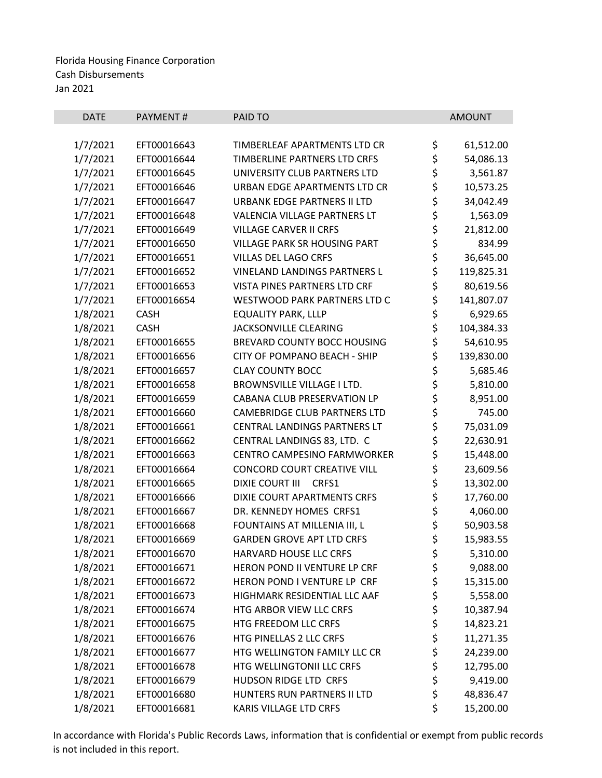| <b>DATE</b> | PAYMENT#    | PAID TO                             |          | <b>AMOUNT</b> |
|-------------|-------------|-------------------------------------|----------|---------------|
|             |             |                                     |          |               |
| 1/7/2021    | EFT00016643 | TIMBERLEAF APARTMENTS LTD CR        | \$       | 61,512.00     |
| 1/7/2021    | EFT00016644 | TIMBERLINE PARTNERS LTD CRFS        | \$       | 54,086.13     |
| 1/7/2021    | EFT00016645 | UNIVERSITY CLUB PARTNERS LTD        | \$<br>\$ | 3,561.87      |
| 1/7/2021    | EFT00016646 | URBAN EDGE APARTMENTS LTD CR        |          | 10,573.25     |
| 1/7/2021    | EFT00016647 | URBANK EDGE PARTNERS II LTD         | \$       | 34,042.49     |
| 1/7/2021    | EFT00016648 | VALENCIA VILLAGE PARTNERS LT        | \$<br>\$ | 1,563.09      |
| 1/7/2021    | EFT00016649 | <b>VILLAGE CARVER II CRFS</b>       |          | 21,812.00     |
| 1/7/2021    | EFT00016650 | <b>VILLAGE PARK SR HOUSING PART</b> | \$       | 834.99        |
| 1/7/2021    | EFT00016651 | <b>VILLAS DEL LAGO CRFS</b>         | \$       | 36,645.00     |
| 1/7/2021    | EFT00016652 | VINELAND LANDINGS PARTNERS L        | \$       | 119,825.31    |
| 1/7/2021    | EFT00016653 | VISTA PINES PARTNERS LTD CRF        | \$<br>\$ | 80,619.56     |
| 1/7/2021    | EFT00016654 | WESTWOOD PARK PARTNERS LTD C        |          | 141,807.07    |
| 1/8/2021    | <b>CASH</b> | <b>EQUALITY PARK, LLLP</b>          | \$       | 6,929.65      |
| 1/8/2021    | <b>CASH</b> | JACKSONVILLE CLEARING               | \$       | 104,384.33    |
| 1/8/2021    | EFT00016655 | BREVARD COUNTY BOCC HOUSING         | \$       | 54,610.95     |
| 1/8/2021    | EFT00016656 | CITY OF POMPANO BEACH - SHIP        | \$       | 139,830.00    |
| 1/8/2021    | EFT00016657 | <b>CLAY COUNTY BOCC</b>             | \$       | 5,685.46      |
| 1/8/2021    | EFT00016658 | <b>BROWNSVILLE VILLAGE I LTD.</b>   | \$       | 5,810.00      |
| 1/8/2021    | EFT00016659 | CABANA CLUB PRESERVATION LP         | \$<br>\$ | 8,951.00      |
| 1/8/2021    | EFT00016660 | <b>CAMEBRIDGE CLUB PARTNERS LTD</b> |          | 745.00        |
| 1/8/2021    | EFT00016661 | CENTRAL LANDINGS PARTNERS LT        | \$<br>\$ | 75,031.09     |
| 1/8/2021    | EFT00016662 | CENTRAL LANDINGS 83, LTD. C         |          | 22,630.91     |
| 1/8/2021    | EFT00016663 | CENTRO CAMPESINO FARMWORKER         | \$       | 15,448.00     |
| 1/8/2021    | EFT00016664 | <b>CONCORD COURT CREATIVE VILL</b>  | \$<br>\$ | 23,609.56     |
| 1/8/2021    | EFT00016665 | <b>DIXIE COURT III</b><br>CRFS1     |          | 13,302.00     |
| 1/8/2021    | EFT00016666 | DIXIE COURT APARTMENTS CRFS         | \$       | 17,760.00     |
| 1/8/2021    | EFT00016667 | DR. KENNEDY HOMES CRFS1             | \$       | 4,060.00      |
| 1/8/2021    | EFT00016668 | FOUNTAINS AT MILLENIA III, L        | \$       | 50,903.58     |
| 1/8/2021    | EFT00016669 | <b>GARDEN GROVE APT LTD CRFS</b>    | \$       | 15,983.55     |
| 1/8/2021    | EFT00016670 | HARVARD HOUSE LLC CRFS              | \$       | 5,310.00      |
| 1/8/2021    | EFT00016671 | HERON POND II VENTURE LP CRF        | \$       | 9,088.00      |
| 1/8/2021    | EFT00016672 | HERON POND I VENTURE LP CRF         | \$       | 15,315.00     |
| 1/8/2021    | EFT00016673 | HIGHMARK RESIDENTIAL LLC AAF        | \$       | 5,558.00      |
| 1/8/2021    | EFT00016674 | HTG ARBOR VIEW LLC CRFS             | \$       | 10,387.94     |
| 1/8/2021    | EFT00016675 | HTG FREEDOM LLC CRFS                | \$       | 14,823.21     |
| 1/8/2021    | EFT00016676 | HTG PINELLAS 2 LLC CRFS             | \$       | 11,271.35     |
| 1/8/2021    | EFT00016677 | HTG WELLINGTON FAMILY LLC CR        | \$       | 24,239.00     |
| 1/8/2021    | EFT00016678 | HTG WELLINGTONII LLC CRFS           | \$       | 12,795.00     |
| 1/8/2021    | EFT00016679 | HUDSON RIDGE LTD CRFS               | \$       | 9,419.00      |
| 1/8/2021    | EFT00016680 | HUNTERS RUN PARTNERS II LTD         | \$       | 48,836.47     |
| 1/8/2021    | EFT00016681 | KARIS VILLAGE LTD CRFS              | \$       | 15,200.00     |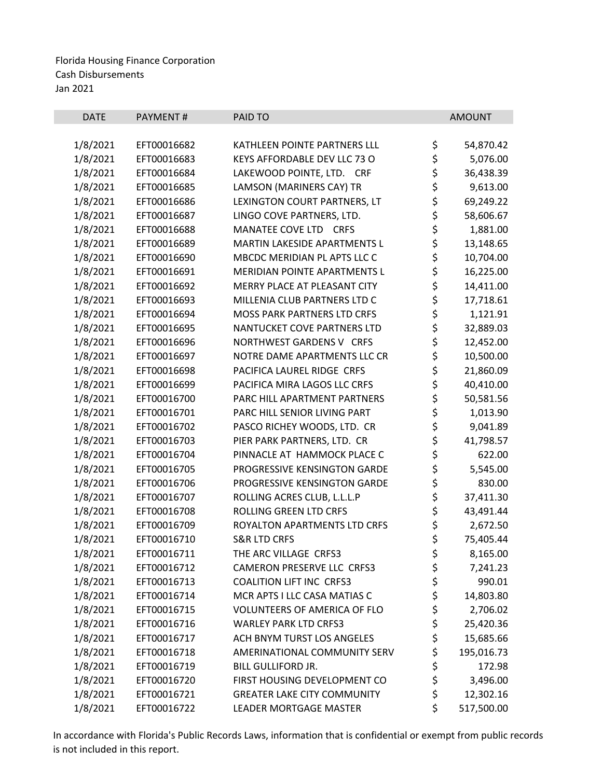| <b>DATE</b> | PAYMENT#    | PAID TO                             |          | <b>AMOUNT</b> |
|-------------|-------------|-------------------------------------|----------|---------------|
| 1/8/2021    | EFT00016682 | KATHLEEN POINTE PARTNERS LLL        | \$       | 54,870.42     |
| 1/8/2021    | EFT00016683 | KEYS AFFORDABLE DEV LLC 73 O        | \$       | 5,076.00      |
| 1/8/2021    | EFT00016684 | LAKEWOOD POINTE, LTD. CRF           |          | 36,438.39     |
| 1/8/2021    | EFT00016685 | LAMSON (MARINERS CAY) TR            | \$<br>\$ | 9,613.00      |
| 1/8/2021    | EFT00016686 | LEXINGTON COURT PARTNERS, LT        | \$       | 69,249.22     |
| 1/8/2021    | EFT00016687 | LINGO COVE PARTNERS, LTD.           | \$       | 58,606.67     |
| 1/8/2021    | EFT00016688 | MANATEE COVE LTD CRFS               | \$       | 1,881.00      |
| 1/8/2021    | EFT00016689 | MARTIN LAKESIDE APARTMENTS L        |          | 13,148.65     |
| 1/8/2021    | EFT00016690 | MBCDC MERIDIAN PL APTS LLC C        | \$<br>\$ | 10,704.00     |
| 1/8/2021    | EFT00016691 | MERIDIAN POINTE APARTMENTS L        | \$       | 16,225.00     |
| 1/8/2021    | EFT00016692 | MERRY PLACE AT PLEASANT CITY        | \$       | 14,411.00     |
| 1/8/2021    | EFT00016693 | MILLENIA CLUB PARTNERS LTD C        | \$       | 17,718.61     |
| 1/8/2021    | EFT00016694 | MOSS PARK PARTNERS LTD CRFS         |          | 1,121.91      |
| 1/8/2021    | EFT00016695 | NANTUCKET COVE PARTNERS LTD         | \$<br>\$ | 32,889.03     |
| 1/8/2021    | EFT00016696 | NORTHWEST GARDENS V CRFS            | \$       | 12,452.00     |
| 1/8/2021    | EFT00016697 | NOTRE DAME APARTMENTS LLC CR        | \$       | 10,500.00     |
| 1/8/2021    | EFT00016698 | PACIFICA LAUREL RIDGE CRFS          | \$       | 21,860.09     |
| 1/8/2021    | EFT00016699 | PACIFICA MIRA LAGOS LLC CRFS        | \$       | 40,410.00     |
| 1/8/2021    | EFT00016700 | PARC HILL APARTMENT PARTNERS        | \$       | 50,581.56     |
| 1/8/2021    | EFT00016701 | PARC HILL SENIOR LIVING PART        |          | 1,013.90      |
| 1/8/2021    | EFT00016702 | PASCO RICHEY WOODS, LTD. CR         | \$\$\$   | 9,041.89      |
| 1/8/2021    | EFT00016703 | PIER PARK PARTNERS, LTD. CR         |          | 41,798.57     |
| 1/8/2021    | EFT00016704 | PINNACLE AT HAMMOCK PLACE C         |          | 622.00        |
| 1/8/2021    | EFT00016705 | PROGRESSIVE KENSINGTON GARDE        | \$<br>\$ | 5,545.00      |
| 1/8/2021    | EFT00016706 | PROGRESSIVE KENSINGTON GARDE        | \$       | 830.00        |
| 1/8/2021    | EFT00016707 | ROLLING ACRES CLUB, L.L.L.P         | \$       | 37,411.30     |
| 1/8/2021    | EFT00016708 | ROLLING GREEN LTD CRFS              | \$       | 43,491.44     |
| 1/8/2021    | EFT00016709 | ROYALTON APARTMENTS LTD CRFS        | \$       | 2,672.50      |
| 1/8/2021    | EFT00016710 | <b>S&amp;R LTD CRFS</b>             | \$       | 75,405.44     |
| 1/8/2021    | EFT00016711 | THE ARC VILLAGE CRFS3               | \$       | 8,165.00      |
| 1/8/2021    | EFT00016712 | CAMERON PRESERVE LLC CRFS3          | \$       | 7,241.23      |
| 1/8/2021    | EFT00016713 | <b>COALITION LIFT INC CRFS3</b>     | \$       | 990.01        |
| 1/8/2021    | EFT00016714 | MCR APTS I LLC CASA MATIAS C        | \$       | 14,803.80     |
| 1/8/2021    | EFT00016715 | <b>VOLUNTEERS OF AMERICA OF FLO</b> | \$       | 2,706.02      |
| 1/8/2021    | EFT00016716 | <b>WARLEY PARK LTD CRFS3</b>        | \$       | 25,420.36     |
| 1/8/2021    | EFT00016717 | ACH BNYM TURST LOS ANGELES          | \$       | 15,685.66     |
| 1/8/2021    | EFT00016718 | AMERINATIONAL COMMUNITY SERV        | \$       | 195,016.73    |
| 1/8/2021    | EFT00016719 | <b>BILL GULLIFORD JR.</b>           | \$       | 172.98        |
| 1/8/2021    | EFT00016720 | FIRST HOUSING DEVELOPMENT CO        | \$       | 3,496.00      |
| 1/8/2021    | EFT00016721 | <b>GREATER LAKE CITY COMMUNITY</b>  | \$       | 12,302.16     |
| 1/8/2021    | EFT00016722 | LEADER MORTGAGE MASTER              | \$       | 517,500.00    |
|             |             |                                     |          |               |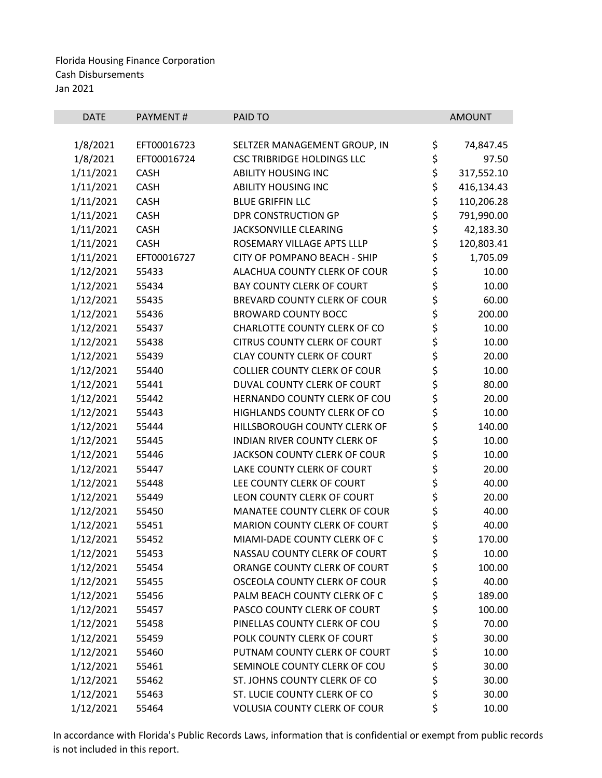| <b>DATE</b> | <b>PAYMENT#</b> | PAID TO                                                         |          | <b>AMOUNT</b> |
|-------------|-----------------|-----------------------------------------------------------------|----------|---------------|
|             |                 |                                                                 |          |               |
| 1/8/2021    | EFT00016723     | SELTZER MANAGEMENT GROUP, IN                                    | \$       | 74,847.45     |
| 1/8/2021    | EFT00016724     | <b>CSC TRIBRIDGE HOLDINGS LLC</b><br><b>ABILITY HOUSING INC</b> | \$<br>\$ | 97.50         |
| 1/11/2021   | <b>CASH</b>     |                                                                 |          | 317,552.10    |
| 1/11/2021   | <b>CASH</b>     | <b>ABILITY HOUSING INC</b>                                      | \$       | 416,134.43    |
| 1/11/2021   | CASH            | <b>BLUE GRIFFIN LLC</b>                                         | \$       | 110,206.28    |
| 1/11/2021   | <b>CASH</b>     | <b>DPR CONSTRUCTION GP</b>                                      | \$       | 791,990.00    |
| 1/11/2021   | <b>CASH</b>     | JACKSONVILLE CLEARING                                           | \$       | 42,183.30     |
| 1/11/2021   | <b>CASH</b>     | ROSEMARY VILLAGE APTS LLLP                                      | \$       | 120,803.41    |
| 1/11/2021   | EFT00016727     | CITY OF POMPANO BEACH - SHIP                                    | \$       | 1,705.09      |
| 1/12/2021   | 55433           | ALACHUA COUNTY CLERK OF COUR                                    | \$       | 10.00         |
| 1/12/2021   | 55434           | <b>BAY COUNTY CLERK OF COURT</b>                                | \$       | 10.00         |
| 1/12/2021   | 55435           | BREVARD COUNTY CLERK OF COUR                                    | \$       | 60.00         |
| 1/12/2021   | 55436           | <b>BROWARD COUNTY BOCC</b>                                      | \$       | 200.00        |
| 1/12/2021   | 55437           | CHARLOTTE COUNTY CLERK OF CO                                    | \$       | 10.00         |
| 1/12/2021   | 55438           | <b>CITRUS COUNTY CLERK OF COURT</b>                             | \$       | 10.00         |
| 1/12/2021   | 55439           | <b>CLAY COUNTY CLERK OF COURT</b>                               | \$       | 20.00         |
| 1/12/2021   | 55440           | <b>COLLIER COUNTY CLERK OF COUR</b>                             | \$       | 10.00         |
| 1/12/2021   | 55441           | DUVAL COUNTY CLERK OF COURT                                     | \$       | 80.00         |
| 1/12/2021   | 55442           | HERNANDO COUNTY CLERK OF COU                                    | \$       | 20.00         |
| 1/12/2021   | 55443           | HIGHLANDS COUNTY CLERK OF CO                                    | \$       | 10.00         |
| 1/12/2021   | 55444           | HILLSBOROUGH COUNTY CLERK OF                                    | \$       | 140.00        |
| 1/12/2021   | 55445           | INDIAN RIVER COUNTY CLERK OF                                    | \$       | 10.00         |
| 1/12/2021   | 55446           | JACKSON COUNTY CLERK OF COUR                                    | \$       | 10.00         |
| 1/12/2021   | 55447           | LAKE COUNTY CLERK OF COURT                                      | \$       | 20.00         |
| 1/12/2021   | 55448           | LEE COUNTY CLERK OF COURT                                       | \$       | 40.00         |
| 1/12/2021   | 55449           | LEON COUNTY CLERK OF COURT                                      | \$       | 20.00         |
| 1/12/2021   | 55450           | <b>MANATEE COUNTY CLERK OF COUR</b>                             | \$       | 40.00         |
| 1/12/2021   | 55451           | <b>MARION COUNTY CLERK OF COURT</b>                             | \$       | 40.00         |
| 1/12/2021   | 55452           | MIAMI-DADE COUNTY CLERK OF C                                    | \$       | 170.00        |
| 1/12/2021   | 55453           | NASSAU COUNTY CLERK OF COURT                                    | \$       | 10.00         |
| 1/12/2021   | 55454           | ORANGE COUNTY CLERK OF COURT                                    | \$       | 100.00        |
| 1/12/2021   | 55455           | OSCEOLA COUNTY CLERK OF COUR                                    | \$       | 40.00         |
| 1/12/2021   | 55456           | PALM BEACH COUNTY CLERK OF C                                    | \$       | 189.00        |
| 1/12/2021   | 55457           | PASCO COUNTY CLERK OF COURT                                     |          | 100.00        |
| 1/12/2021   | 55458           | PINELLAS COUNTY CLERK OF COU                                    | \$\$\$\$ | 70.00         |
| 1/12/2021   | 55459           | POLK COUNTY CLERK OF COURT                                      |          | 30.00         |
| 1/12/2021   | 55460           | PUTNAM COUNTY CLERK OF COURT                                    |          | 10.00         |
| 1/12/2021   | 55461           | SEMINOLE COUNTY CLERK OF COU                                    |          | 30.00         |
| 1/12/2021   | 55462           | ST. JOHNS COUNTY CLERK OF CO                                    | \$<br>\$ | 30.00         |
| 1/12/2021   | 55463           | ST. LUCIE COUNTY CLERK OF CO                                    | \$       | 30.00         |
| 1/12/2021   | 55464           | VOLUSIA COUNTY CLERK OF COUR                                    | \$       | 10.00         |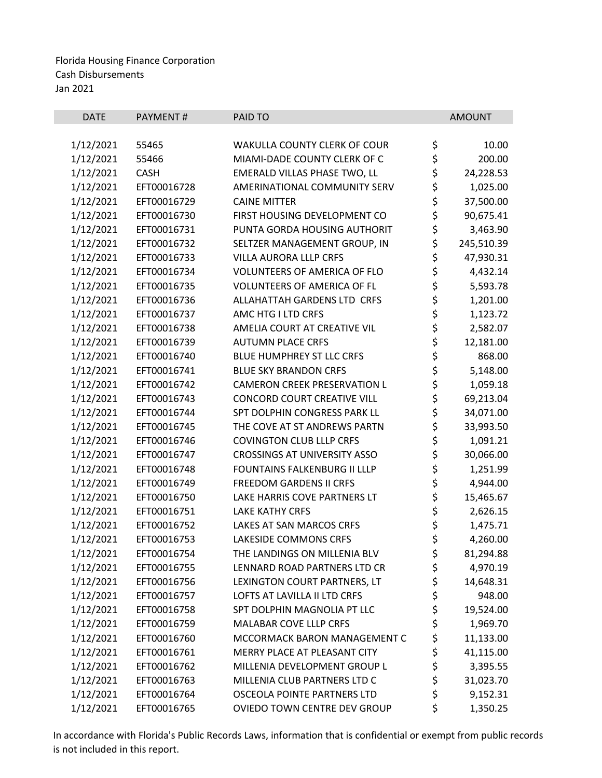| <b>DATE</b>            | PAYMENT#       | PAID TO                             |          | <b>AMOUNT</b>       |
|------------------------|----------------|-------------------------------------|----------|---------------------|
|                        |                |                                     |          |                     |
| 1/12/2021              | 55465<br>55466 | <b>WAKULLA COUNTY CLERK OF COUR</b> | \$       | 10.00               |
| 1/12/2021<br>1/12/2021 | <b>CASH</b>    | MIAMI-DADE COUNTY CLERK OF C        | \$<br>\$ | 200.00<br>24,228.53 |
|                        |                | EMERALD VILLAS PHASE TWO, LL        |          |                     |
| 1/12/2021<br>1/12/2021 | EFT00016728    | AMERINATIONAL COMMUNITY SERV        | \$<br>\$ | 1,025.00            |
|                        | EFT00016729    | <b>CAINE MITTER</b>                 |          | 37,500.00           |
| 1/12/2021              | EFT00016730    | FIRST HOUSING DEVELOPMENT CO        | \$       | 90,675.41           |
| 1/12/2021              | EFT00016731    | PUNTA GORDA HOUSING AUTHORIT        | \$       | 3,463.90            |
| 1/12/2021              | EFT00016732    | SELTZER MANAGEMENT GROUP, IN        | \$       | 245,510.39          |
| 1/12/2021              | EFT00016733    | <b>VILLA AURORA LLLP CRFS</b>       | \$       | 47,930.31           |
| 1/12/2021              | EFT00016734    | <b>VOLUNTEERS OF AMERICA OF FLO</b> | \$       | 4,432.14            |
| 1/12/2021              | EFT00016735    | <b>VOLUNTEERS OF AMERICA OF FL</b>  | \$<br>\$ | 5,593.78            |
| 1/12/2021              | EFT00016736    | ALLAHATTAH GARDENS LTD CRFS         |          | 1,201.00            |
| 1/12/2021              | EFT00016737    | AMC HTG I LTD CRFS                  | \$<br>\$ | 1,123.72            |
| 1/12/2021              | EFT00016738    | AMELIA COURT AT CREATIVE VIL        |          | 2,582.07            |
| 1/12/2021              | EFT00016739    | <b>AUTUMN PLACE CRFS</b>            | \$       | 12,181.00           |
| 1/12/2021              | EFT00016740    | <b>BLUE HUMPHREY ST LLC CRFS</b>    | \$<br>\$ | 868.00              |
| 1/12/2021              | EFT00016741    | <b>BLUE SKY BRANDON CRFS</b>        |          | 5,148.00            |
| 1/12/2021              | EFT00016742    | <b>CAMERON CREEK PRESERVATION L</b> | \$       | 1,059.18            |
| 1/12/2021              | EFT00016743    | <b>CONCORD COURT CREATIVE VILL</b>  | \$       | 69,213.04           |
| 1/12/2021              | EFT00016744    | SPT DOLPHIN CONGRESS PARK LL        | \$       | 34,071.00           |
| 1/12/2021              | EFT00016745    | THE COVE AT ST ANDREWS PARTN        | \$       | 33,993.50           |
| 1/12/2021              | EFT00016746    | <b>COVINGTON CLUB LLLP CRFS</b>     | \$       | 1,091.21            |
| 1/12/2021              | EFT00016747    | <b>CROSSINGS AT UNIVERSITY ASSO</b> | \$       | 30,066.00           |
| 1/12/2021              | EFT00016748    | FOUNTAINS FALKENBURG II LLLP        | \$       | 1,251.99            |
| 1/12/2021              | EFT00016749    | <b>FREEDOM GARDENS II CRFS</b>      | \$<br>\$ | 4,944.00            |
| 1/12/2021              | EFT00016750    | LAKE HARRIS COVE PARTNERS LT        |          | 15,465.67           |
| 1/12/2021              | EFT00016751    | <b>LAKE KATHY CRFS</b>              | \$       | 2,626.15            |
| 1/12/2021              | EFT00016752    | <b>LAKES AT SAN MARCOS CRFS</b>     | \$       | 1,475.71            |
| 1/12/2021              | EFT00016753    | <b>LAKESIDE COMMONS CRFS</b>        | \$       | 4,260.00            |
| 1/12/2021              | EFT00016754    | THE LANDINGS ON MILLENIA BLV        | \$       | 81,294.88           |
| 1/12/2021              | EFT00016755    | LENNARD ROAD PARTNERS LTD CR        | \$       | 4,970.19            |
| 1/12/2021              | EFT00016756    | LEXINGTON COURT PARTNERS, LT        | \$       | 14,648.31           |
| 1/12/2021              | EFT00016757    | LOFTS AT LAVILLA II LTD CRFS        | \$       | 948.00              |
| 1/12/2021              | EFT00016758    | SPT DOLPHIN MAGNOLIA PT LLC         | \$       | 19,524.00           |
| 1/12/2021              | EFT00016759    | MALABAR COVE LLLP CRFS              | \$       | 1,969.70            |
| 1/12/2021              | EFT00016760    | MCCORMACK BARON MANAGEMENT C        | \$       | 11,133.00           |
| 1/12/2021              | EFT00016761    | MERRY PLACE AT PLEASANT CITY        | \$       | 41,115.00           |
| 1/12/2021              | EFT00016762    | MILLENIA DEVELOPMENT GROUP L        | \$       | 3,395.55            |
| 1/12/2021              | EFT00016763    | MILLENIA CLUB PARTNERS LTD C        | \$       | 31,023.70           |
| 1/12/2021              | EFT00016764    | OSCEOLA POINTE PARTNERS LTD         | \$       | 9,152.31            |
| 1/12/2021              | EFT00016765    | OVIEDO TOWN CENTRE DEV GROUP        | \$       | 1,350.25            |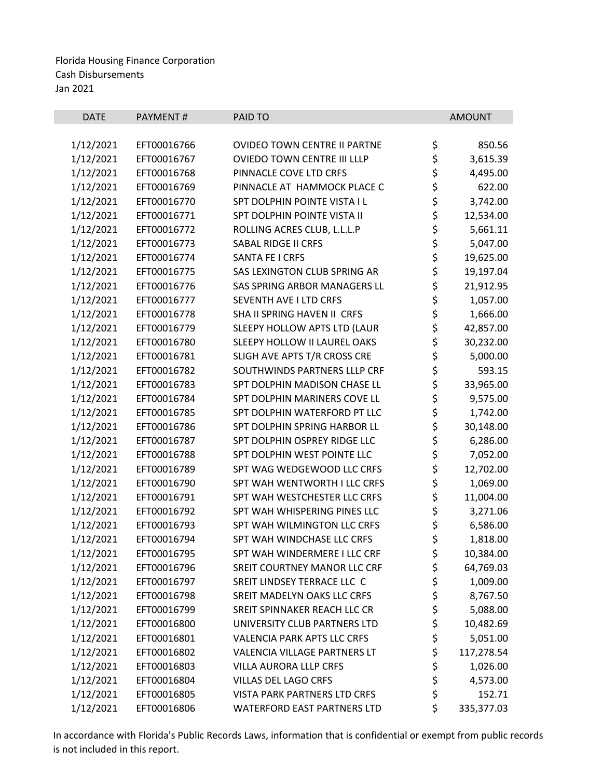| <b>DATE</b> | <b>PAYMENT#</b> | PAID TO                            | <b>AMOUNT</b>    |
|-------------|-----------------|------------------------------------|------------------|
|             |                 |                                    |                  |
| 1/12/2021   | EFT00016766     | OVIDEO TOWN CENTRE II PARTNE       | \$<br>850.56     |
| 1/12/2021   | EFT00016767     | OVIEDO TOWN CENTRE III LLLP        | \$<br>3,615.39   |
| 1/12/2021   | EFT00016768     | PINNACLE COVE LTD CRFS             | \$<br>4,495.00   |
| 1/12/2021   | EFT00016769     | PINNACLE AT HAMMOCK PLACE C        | \$<br>622.00     |
| 1/12/2021   | EFT00016770     | SPT DOLPHIN POINTE VISTA I L       | \$<br>3,742.00   |
| 1/12/2021   | EFT00016771     | SPT DOLPHIN POINTE VISTA II        | \$<br>12,534.00  |
| 1/12/2021   | EFT00016772     | ROLLING ACRES CLUB, L.L.L.P        | \$<br>5,661.11   |
| 1/12/2021   | EFT00016773     | SABAL RIDGE II CRFS                | \$<br>5,047.00   |
| 1/12/2021   | EFT00016774     | SANTA FE I CRFS                    | \$<br>19,625.00  |
| 1/12/2021   | EFT00016775     | SAS LEXINGTON CLUB SPRING AR       | \$<br>19,197.04  |
| 1/12/2021   | EFT00016776     | SAS SPRING ARBOR MANAGERS LL       | \$<br>21,912.95  |
| 1/12/2021   | EFT00016777     | SEVENTH AVE I LTD CRFS             | \$<br>1,057.00   |
| 1/12/2021   | EFT00016778     | SHA II SPRING HAVEN II CRFS        | \$<br>1,666.00   |
| 1/12/2021   | EFT00016779     | SLEEPY HOLLOW APTS LTD (LAUR       | \$<br>42,857.00  |
| 1/12/2021   | EFT00016780     | SLEEPY HOLLOW II LAUREL OAKS       | \$<br>30,232.00  |
| 1/12/2021   | EFT00016781     | SLIGH AVE APTS T/R CROSS CRE       | \$<br>5,000.00   |
| 1/12/2021   | EFT00016782     | SOUTHWINDS PARTNERS LLLP CRF       | \$<br>593.15     |
| 1/12/2021   | EFT00016783     | SPT DOLPHIN MADISON CHASE LL       | \$<br>33,965.00  |
| 1/12/2021   | EFT00016784     | SPT DOLPHIN MARINERS COVE LL       | \$<br>9,575.00   |
| 1/12/2021   | EFT00016785     | SPT DOLPHIN WATERFORD PT LLC       | \$<br>1,742.00   |
| 1/12/2021   | EFT00016786     | SPT DOLPHIN SPRING HARBOR LL       | \$<br>30,148.00  |
| 1/12/2021   | EFT00016787     | SPT DOLPHIN OSPREY RIDGE LLC       | \$<br>6,286.00   |
| 1/12/2021   | EFT00016788     | SPT DOLPHIN WEST POINTE LLC        | \$<br>7,052.00   |
| 1/12/2021   | EFT00016789     | SPT WAG WEDGEWOOD LLC CRFS         | \$<br>12,702.00  |
| 1/12/2021   | EFT00016790     | SPT WAH WENTWORTH I LLC CRFS       | \$<br>1,069.00   |
| 1/12/2021   | EFT00016791     | SPT WAH WESTCHESTER LLC CRFS       | \$<br>11,004.00  |
| 1/12/2021   | EFT00016792     | SPT WAH WHISPERING PINES LLC       | \$<br>3,271.06   |
| 1/12/2021   | EFT00016793     | SPT WAH WILMINGTON LLC CRFS        | \$<br>6,586.00   |
| 1/12/2021   | EFT00016794     | SPT WAH WINDCHASE LLC CRFS         | \$<br>1,818.00   |
| 1/12/2021   | EFT00016795     | SPT WAH WINDERMERE I LLC CRF       | \$<br>10,384.00  |
| 1/12/2021   | EFT00016796     | SREIT COURTNEY MANOR LLC CRF       | \$<br>64,769.03  |
| 1/12/2021   | EFT00016797     | SREIT LINDSEY TERRACE LLC C        | \$<br>1,009.00   |
| 1/12/2021   | EFT00016798     | SREIT MADELYN OAKS LLC CRFS        | \$<br>8,767.50   |
| 1/12/2021   | EFT00016799     | SREIT SPINNAKER REACH LLC CR       | \$<br>5,088.00   |
| 1/12/2021   | EFT00016800     | UNIVERSITY CLUB PARTNERS LTD       | \$<br>10,482.69  |
| 1/12/2021   | EFT00016801     | <b>VALENCIA PARK APTS LLC CRFS</b> | \$<br>5,051.00   |
| 1/12/2021   | EFT00016802     | VALENCIA VILLAGE PARTNERS LT       | \$<br>117,278.54 |
| 1/12/2021   | EFT00016803     | VILLA AURORA LLLP CRFS             | \$<br>1,026.00   |
| 1/12/2021   | EFT00016804     | <b>VILLAS DEL LAGO CRFS</b>        | \$<br>4,573.00   |
| 1/12/2021   | EFT00016805     | VISTA PARK PARTNERS LTD CRFS       | \$<br>152.71     |
| 1/12/2021   | EFT00016806     | <b>WATERFORD EAST PARTNERS LTD</b> | \$<br>335,377.03 |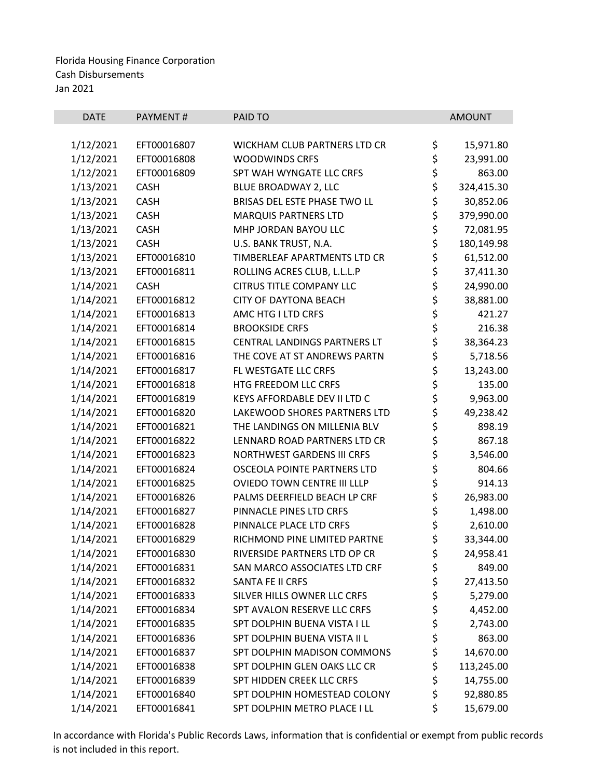| <b>DATE</b> | <b>PAYMENT#</b> | PAID TO                             |          | <b>AMOUNT</b> |
|-------------|-----------------|-------------------------------------|----------|---------------|
|             |                 |                                     |          |               |
| 1/12/2021   | EFT00016807     | <b>WICKHAM CLUB PARTNERS LTD CR</b> | \$       | 15,971.80     |
| 1/12/2021   | EFT00016808     | <b>WOODWINDS CRFS</b>               | \$       | 23,991.00     |
| 1/12/2021   | EFT00016809     | SPT WAH WYNGATE LLC CRFS            |          | 863.00        |
| 1/13/2021   | <b>CASH</b>     | BLUE BROADWAY 2, LLC                | さら       | 324,415.30    |
| 1/13/2021   | <b>CASH</b>     | BRISAS DEL ESTE PHASE TWO LL        |          | 30,852.06     |
| 1/13/2021   | <b>CASH</b>     | <b>MARQUIS PARTNERS LTD</b>         | \$       | 379,990.00    |
| 1/13/2021   | CASH            | MHP JORDAN BAYOU LLC                | \$       | 72,081.95     |
| 1/13/2021   | <b>CASH</b>     | U.S. BANK TRUST, N.A.               | \$       | 180,149.98    |
| 1/13/2021   | EFT00016810     | TIMBERLEAF APARTMENTS LTD CR        | \$       | 61,512.00     |
| 1/13/2021   | EFT00016811     | ROLLING ACRES CLUB, L.L.L.P         | \$       | 37,411.30     |
| 1/14/2021   | <b>CASH</b>     | <b>CITRUS TITLE COMPANY LLC</b>     | \$<br>\$ | 24,990.00     |
| 1/14/2021   | EFT00016812     | <b>CITY OF DAYTONA BEACH</b>        |          | 38,881.00     |
| 1/14/2021   | EFT00016813     | AMC HTG I LTD CRFS                  | \$<br>\$ | 421.27        |
| 1/14/2021   | EFT00016814     | <b>BROOKSIDE CRFS</b>               |          | 216.38        |
| 1/14/2021   | EFT00016815     | CENTRAL LANDINGS PARTNERS LT        | \$       | 38,364.23     |
| 1/14/2021   | EFT00016816     | THE COVE AT ST ANDREWS PARTN        | \$<br>\$ | 5,718.56      |
| 1/14/2021   | EFT00016817     | FL WESTGATE LLC CRFS                |          | 13,243.00     |
| 1/14/2021   | EFT00016818     | HTG FREEDOM LLC CRFS                | \$       | 135.00        |
| 1/14/2021   | EFT00016819     | KEYS AFFORDABLE DEV II LTD C        | \$       | 9,963.00      |
| 1/14/2021   | EFT00016820     | LAKEWOOD SHORES PARTNERS LTD        | \$       | 49,238.42     |
| 1/14/2021   | EFT00016821     | THE LANDINGS ON MILLENIA BLV        | \$<br>\$ | 898.19        |
| 1/14/2021   | EFT00016822     | LENNARD ROAD PARTNERS LTD CR        |          | 867.18        |
| 1/14/2021   | EFT00016823     | <b>NORTHWEST GARDENS III CRFS</b>   | \$\$\$   | 3,546.00      |
| 1/14/2021   | EFT00016824     | OSCEOLA POINTE PARTNERS LTD         |          | 804.66        |
| 1/14/2021   | EFT00016825     | OVIEDO TOWN CENTRE III LLLP         |          | 914.13        |
| 1/14/2021   | EFT00016826     | PALMS DEERFIELD BEACH LP CRF        | \$       | 26,983.00     |
| 1/14/2021   | EFT00016827     | PINNACLE PINES LTD CRFS             | \$       | 1,498.00      |
| 1/14/2021   | EFT00016828     | PINNALCE PLACE LTD CRFS             | \$       | 2,610.00      |
| 1/14/2021   | EFT00016829     | RICHMOND PINE LIMITED PARTNE        | \$       | 33,344.00     |
| 1/14/2021   | EFT00016830     | RIVERSIDE PARTNERS LTD OP CR        | \$       | 24,958.41     |
| 1/14/2021   | EFT00016831     | SAN MARCO ASSOCIATES LTD CRF        | \$       | 849.00        |
| 1/14/2021   | EFT00016832     | SANTA FE II CRFS                    | \$       | 27,413.50     |
| 1/14/2021   | EFT00016833     | SILVER HILLS OWNER LLC CRFS         | \$       | 5,279.00      |
| 1/14/2021   | EFT00016834     | SPT AVALON RESERVE LLC CRFS         | \$       | 4,452.00      |
| 1/14/2021   | EFT00016835     | SPT DOLPHIN BUENA VISTA I LL        | \$       | 2,743.00      |
| 1/14/2021   | EFT00016836     | SPT DOLPHIN BUENA VISTA II L        | \$       | 863.00        |
| 1/14/2021   | EFT00016837     | SPT DOLPHIN MADISON COMMONS         | \$       | 14,670.00     |
| 1/14/2021   | EFT00016838     | SPT DOLPHIN GLEN OAKS LLC CR        | \$       | 113,245.00    |
| 1/14/2021   | EFT00016839     | SPT HIDDEN CREEK LLC CRFS           | \$       | 14,755.00     |
| 1/14/2021   | EFT00016840     | SPT DOLPHIN HOMESTEAD COLONY        | \$       | 92,880.85     |
| 1/14/2021   | EFT00016841     | SPT DOLPHIN METRO PLACE I LL        | \$       | 15,679.00     |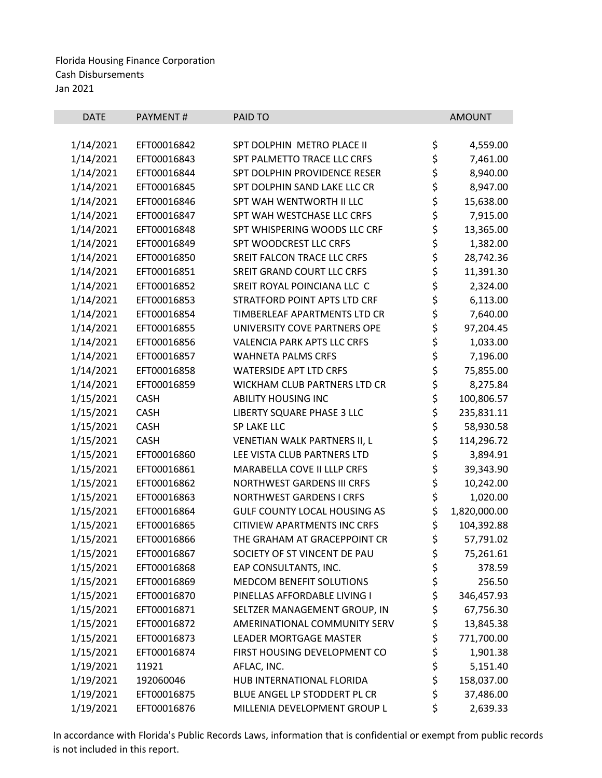| <b>DATE</b> | PAYMENT#    | PAID TO                             |          | <b>AMOUNT</b> |
|-------------|-------------|-------------------------------------|----------|---------------|
|             |             |                                     |          |               |
| 1/14/2021   | EFT00016842 | SPT DOLPHIN METRO PLACE II          | \$       | 4,559.00      |
| 1/14/2021   | EFT00016843 | SPT PALMETTO TRACE LLC CRFS         | \$       | 7,461.00      |
| 1/14/2021   | EFT00016844 | SPT DOLPHIN PROVIDENCE RESER        | \$<br>\$ | 8,940.00      |
| 1/14/2021   | EFT00016845 | SPT DOLPHIN SAND LAKE LLC CR        |          | 8,947.00      |
| 1/14/2021   | EFT00016846 | SPT WAH WENTWORTH II LLC            | \$       | 15,638.00     |
| 1/14/2021   | EFT00016847 | SPT WAH WESTCHASE LLC CRFS          | \$       | 7,915.00      |
| 1/14/2021   | EFT00016848 | SPT WHISPERING WOODS LLC CRF        | \$       | 13,365.00     |
| 1/14/2021   | EFT00016849 | SPT WOODCREST LLC CRFS              | \$       | 1,382.00      |
| 1/14/2021   | EFT00016850 | SREIT FALCON TRACE LLC CRFS         | \$       | 28,742.36     |
| 1/14/2021   | EFT00016851 | SREIT GRAND COURT LLC CRFS          | \$       | 11,391.30     |
| 1/14/2021   | EFT00016852 | SREIT ROYAL POINCIANA LLC C         | \$<br>\$ | 2,324.00      |
| 1/14/2021   | EFT00016853 | STRATFORD POINT APTS LTD CRF        |          | 6,113.00      |
| 1/14/2021   | EFT00016854 | TIMBERLEAF APARTMENTS LTD CR        | \$<br>\$ | 7,640.00      |
| 1/14/2021   | EFT00016855 | UNIVERSITY COVE PARTNERS OPE        |          | 97,204.45     |
| 1/14/2021   | EFT00016856 | <b>VALENCIA PARK APTS LLC CRFS</b>  | \$       | 1,033.00      |
| 1/14/2021   | EFT00016857 | <b>WAHNETA PALMS CRFS</b>           | \$       | 7,196.00      |
| 1/14/2021   | EFT00016858 | <b>WATERSIDE APT LTD CRFS</b>       | \$       | 75,855.00     |
| 1/14/2021   | EFT00016859 | WICKHAM CLUB PARTNERS LTD CR        | \$       | 8,275.84      |
| 1/15/2021   | <b>CASH</b> | <b>ABILITY HOUSING INC</b>          | \$       | 100,806.57    |
| 1/15/2021   | <b>CASH</b> | LIBERTY SQUARE PHASE 3 LLC          | \$       | 235,831.11    |
| 1/15/2021   | <b>CASH</b> | SP LAKE LLC                         | \$       | 58,930.58     |
| 1/15/2021   | CASH        | VENETIAN WALK PARTNERS II, L        | \$       | 114,296.72    |
| 1/15/2021   | EFT00016860 | LEE VISTA CLUB PARTNERS LTD         | \$       | 3,894.91      |
| 1/15/2021   | EFT00016861 | MARABELLA COVE II LLLP CRFS         | \$       | 39,343.90     |
| 1/15/2021   | EFT00016862 | <b>NORTHWEST GARDENS III CRFS</b>   | \$       | 10,242.00     |
| 1/15/2021   | EFT00016863 | <b>NORTHWEST GARDENS I CRFS</b>     | \$       | 1,020.00      |
| 1/15/2021   | EFT00016864 | <b>GULF COUNTY LOCAL HOUSING AS</b> | \$       | 1,820,000.00  |
| 1/15/2021   | EFT00016865 | <b>CITIVIEW APARTMENTS INC CRFS</b> | \$       | 104,392.88    |
| 1/15/2021   | EFT00016866 | THE GRAHAM AT GRACEPPOINT CR        | \$       | 57,791.02     |
| 1/15/2021   | EFT00016867 | SOCIETY OF ST VINCENT DE PAU        | \$       | 75,261.61     |
| 1/15/2021   | EFT00016868 | EAP CONSULTANTS, INC.               | \$       | 378.59        |
| 1/15/2021   | EFT00016869 | MEDCOM BENEFIT SOLUTIONS            | \$       | 256.50        |
| 1/15/2021   | EFT00016870 | PINELLAS AFFORDABLE LIVING I        | \$       | 346,457.93    |
| 1/15/2021   | EFT00016871 | SELTZER MANAGEMENT GROUP, IN        | \$       | 67,756.30     |
| 1/15/2021   | EFT00016872 | AMERINATIONAL COMMUNITY SERV        | \$       | 13,845.38     |
| 1/15/2021   | EFT00016873 | LEADER MORTGAGE MASTER              | \$       | 771,700.00    |
| 1/15/2021   | EFT00016874 | FIRST HOUSING DEVELOPMENT CO        | \$       | 1,901.38      |
| 1/19/2021   | 11921       | AFLAC, INC.                         | \$       | 5,151.40      |
| 1/19/2021   | 192060046   | HUB INTERNATIONAL FLORIDA           | \$       | 158,037.00    |
| 1/19/2021   | EFT00016875 | BLUE ANGEL LP STODDERT PL CR        | \$       | 37,486.00     |
| 1/19/2021   | EFT00016876 | MILLENIA DEVELOPMENT GROUP L        | \$       | 2,639.33      |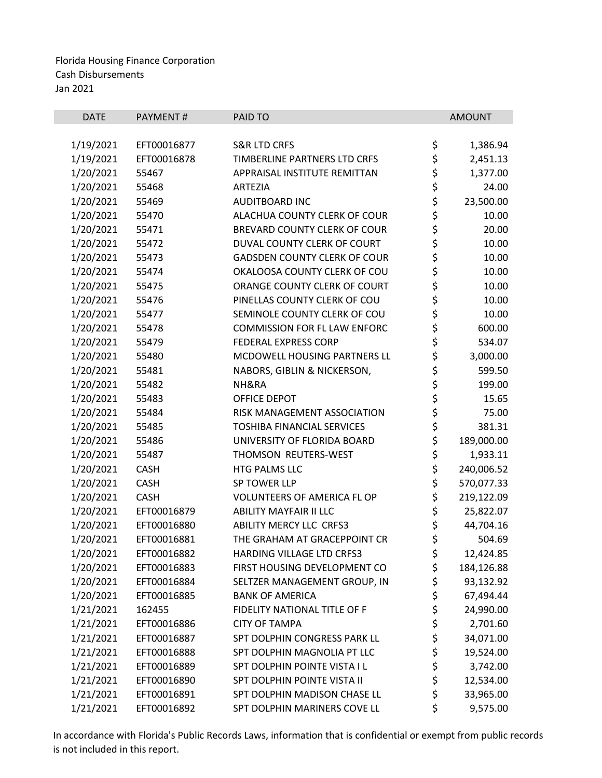| <b>DATE</b> | PAYMENT#    | PAID TO                             |             | <b>AMOUNT</b> |
|-------------|-------------|-------------------------------------|-------------|---------------|
| 1/19/2021   | EFT00016877 | <b>S&amp;R LTD CRFS</b>             | \$          | 1,386.94      |
| 1/19/2021   | EFT00016878 | TIMBERLINE PARTNERS LTD CRFS        |             | 2,451.13      |
| 1/20/2021   | 55467       | APPRAISAL INSTITUTE REMITTAN        | \$\$\$      | 1,377.00      |
| 1/20/2021   | 55468       | <b>ARTEZIA</b>                      |             | 24.00         |
| 1/20/2021   | 55469       | <b>AUDITBOARD INC</b>               | \$          | 23,500.00     |
| 1/20/2021   | 55470       | ALACHUA COUNTY CLERK OF COUR        |             | 10.00         |
| 1/20/2021   | 55471       | BREVARD COUNTY CLERK OF COUR        |             | 20.00         |
| 1/20/2021   | 55472       | DUVAL COUNTY CLERK OF COURT         |             | 10.00         |
| 1/20/2021   | 55473       | <b>GADSDEN COUNTY CLERK OF COUR</b> | \$\$\$\$    | 10.00         |
| 1/20/2021   | 55474       | OKALOOSA COUNTY CLERK OF COU        |             | 10.00         |
| 1/20/2021   | 55475       | ORANGE COUNTY CLERK OF COURT        | \$\$\$      | 10.00         |
| 1/20/2021   | 55476       | PINELLAS COUNTY CLERK OF COU        |             | 10.00         |
| 1/20/2021   | 55477       | SEMINOLE COUNTY CLERK OF COU        |             | 10.00         |
| 1/20/2021   | 55478       | <b>COMMISSION FOR FL LAW ENFORC</b> | \$<br>\$    | 600.00        |
| 1/20/2021   | 55479       | <b>FEDERAL EXPRESS CORP</b>         | \$          | 534.07        |
| 1/20/2021   | 55480       | MCDOWELL HOUSING PARTNERS LL        | \$          | 3,000.00      |
| 1/20/2021   | 55481       | NABORS, GIBLIN & NICKERSON,         | \$          | 599.50        |
| 1/20/2021   | 55482       | NH&RA                               | \$          | 199.00        |
| 1/20/2021   | 55483       | OFFICE DEPOT                        |             | 15.65         |
| 1/20/2021   | 55484       | RISK MANAGEMENT ASSOCIATION         | \$ \$ \$ \$ | 75.00         |
| 1/20/2021   | 55485       | <b>TOSHIBA FINANCIAL SERVICES</b>   |             | 381.31        |
| 1/20/2021   | 55486       | UNIVERSITY OF FLORIDA BOARD         |             | 189,000.00    |
| 1/20/2021   | 55487       | THOMSON REUTERS-WEST                |             | 1,933.11      |
| 1/20/2021   | <b>CASH</b> | HTG PALMS LLC                       | \$<br>\$    | 240,006.52    |
| 1/20/2021   | <b>CASH</b> | SP TOWER LLP                        | \$          | 570,077.33    |
| 1/20/2021   | <b>CASH</b> | <b>VOLUNTEERS OF AMERICA FL OP</b>  | \$          | 219,122.09    |
| 1/20/2021   | EFT00016879 | <b>ABILITY MAYFAIR II LLC</b>       | \$          | 25,822.07     |
| 1/20/2021   | EFT00016880 | <b>ABILITY MERCY LLC CRFS3</b>      | \$          | 44,704.16     |
| 1/20/2021   | EFT00016881 | THE GRAHAM AT GRACEPPOINT CR        | \$          | 504.69        |
| 1/20/2021   | EFT00016882 | HARDING VILLAGE LTD CRFS3           | \$          | 12,424.85     |
| 1/20/2021   | EFT00016883 | FIRST HOUSING DEVELOPMENT CO        | \$          | 184,126.88    |
| 1/20/2021   | EFT00016884 | SELTZER MANAGEMENT GROUP, IN        | \$          | 93,132.92     |
| 1/20/2021   | EFT00016885 | <b>BANK OF AMERICA</b>              | \$          | 67,494.44     |
| 1/21/2021   | 162455      | FIDELITY NATIONAL TITLE OF F        | \$          | 24,990.00     |
| 1/21/2021   | EFT00016886 | <b>CITY OF TAMPA</b>                | \$          | 2,701.60      |
| 1/21/2021   | EFT00016887 | SPT DOLPHIN CONGRESS PARK LL        | \$          | 34,071.00     |
| 1/21/2021   | EFT00016888 | SPT DOLPHIN MAGNOLIA PT LLC         | \$          | 19,524.00     |
| 1/21/2021   | EFT00016889 | SPT DOLPHIN POINTE VISTA I L        | \$          | 3,742.00      |
| 1/21/2021   | EFT00016890 | SPT DOLPHIN POINTE VISTA II         | \$          | 12,534.00     |
| 1/21/2021   | EFT00016891 | SPT DOLPHIN MADISON CHASE LL        | \$          | 33,965.00     |
| 1/21/2021   | EFT00016892 | SPT DOLPHIN MARINERS COVE LL        | \$          | 9,575.00      |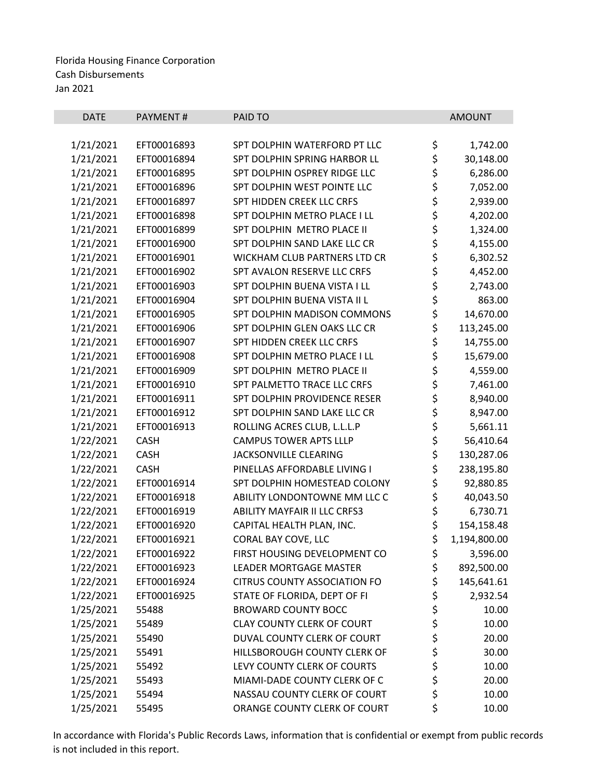| <b>DATE</b> | PAYMENT#    | PAID TO                             |          | <b>AMOUNT</b> |
|-------------|-------------|-------------------------------------|----------|---------------|
|             |             |                                     |          |               |
| 1/21/2021   | EFT00016893 | SPT DOLPHIN WATERFORD PT LLC        | \$       | 1,742.00      |
| 1/21/2021   | EFT00016894 | SPT DOLPHIN SPRING HARBOR LL        | \$       | 30,148.00     |
| 1/21/2021   | EFT00016895 | SPT DOLPHIN OSPREY RIDGE LLC        |          | 6,286.00      |
| 1/21/2021   | EFT00016896 | SPT DOLPHIN WEST POINTE LLC         |          | 7,052.00      |
| 1/21/2021   | EFT00016897 | SPT HIDDEN CREEK LLC CRFS           | やややや     | 2,939.00      |
| 1/21/2021   | EFT00016898 | SPT DOLPHIN METRO PLACE I LL        |          | 4,202.00      |
| 1/21/2021   | EFT00016899 | SPT DOLPHIN METRO PLACE II          |          | 1,324.00      |
| 1/21/2021   | EFT00016900 | SPT DOLPHIN SAND LAKE LLC CR        | \$<br>\$ | 4,155.00      |
| 1/21/2021   | EFT00016901 | WICKHAM CLUB PARTNERS LTD CR        |          | 6,302.52      |
| 1/21/2021   | EFT00016902 | SPT AVALON RESERVE LLC CRFS         | \$\$\$   | 4,452.00      |
| 1/21/2021   | EFT00016903 | SPT DOLPHIN BUENA VISTA I LL        |          | 2,743.00      |
| 1/21/2021   | EFT00016904 | SPT DOLPHIN BUENA VISTA II L        |          | 863.00        |
| 1/21/2021   | EFT00016905 | SPT DOLPHIN MADISON COMMONS         | \$<br>\$ | 14,670.00     |
| 1/21/2021   | EFT00016906 | SPT DOLPHIN GLEN OAKS LLC CR        |          | 113,245.00    |
| 1/21/2021   | EFT00016907 | SPT HIDDEN CREEK LLC CRFS           | ややや やや   | 14,755.00     |
| 1/21/2021   | EFT00016908 | SPT DOLPHIN METRO PLACE I LL        |          | 15,679.00     |
| 1/21/2021   | EFT00016909 | SPT DOLPHIN METRO PLACE II          |          | 4,559.00      |
| 1/21/2021   | EFT00016910 | SPT PALMETTO TRACE LLC CRFS         |          | 7,461.00      |
| 1/21/2021   | EFT00016911 | SPT DOLPHIN PROVIDENCE RESER        |          | 8,940.00      |
| 1/21/2021   | EFT00016912 | SPT DOLPHIN SAND LAKE LLC CR        |          | 8,947.00      |
| 1/21/2021   | EFT00016913 | ROLLING ACRES CLUB, L.L.L.P         | \$<br>\$ | 5,661.11      |
| 1/22/2021   | CASH        | <b>CAMPUS TOWER APTS LLLP</b>       |          | 56,410.64     |
| 1/22/2021   | <b>CASH</b> | <b>JACKSONVILLE CLEARING</b>        | \$<br>\$ | 130,287.06    |
| 1/22/2021   | <b>CASH</b> | PINELLAS AFFORDABLE LIVING I        |          | 238,195.80    |
| 1/22/2021   | EFT00016914 | SPT DOLPHIN HOMESTEAD COLONY        | \$       | 92,880.85     |
| 1/22/2021   | EFT00016918 | ABILITY LONDONTOWNE MM LLC C        | \$       | 40,043.50     |
| 1/22/2021   | EFT00016919 | ABILITY MAYFAIR II LLC CRFS3        | \$       | 6,730.71      |
| 1/22/2021   | EFT00016920 | CAPITAL HEALTH PLAN, INC.           | \$       | 154,158.48    |
| 1/22/2021   | EFT00016921 | CORAL BAY COVE, LLC                 | \$       | 1,194,800.00  |
| 1/22/2021   | EFT00016922 | FIRST HOUSING DEVELOPMENT CO        | \$       | 3,596.00      |
| 1/22/2021   | EFT00016923 | <b>LEADER MORTGAGE MASTER</b>       | \$       | 892,500.00    |
| 1/22/2021   | EFT00016924 | <b>CITRUS COUNTY ASSOCIATION FO</b> | \$       | 145,641.61    |
| 1/22/2021   | EFT00016925 | STATE OF FLORIDA, DEPT OF FI        |          | 2,932.54      |
| 1/25/2021   | 55488       | <b>BROWARD COUNTY BOCC</b>          | \$<br>\$ | 10.00         |
| 1/25/2021   | 55489       | <b>CLAY COUNTY CLERK OF COURT</b>   | \$       | 10.00         |
| 1/25/2021   | 55490       | DUVAL COUNTY CLERK OF COURT         |          | 20.00         |
| 1/25/2021   | 55491       | HILLSBOROUGH COUNTY CLERK OF        | \$<br>\$ | 30.00         |
| 1/25/2021   | 55492       | LEVY COUNTY CLERK OF COURTS         | \$       | 10.00         |
| 1/25/2021   | 55493       | MIAMI-DADE COUNTY CLERK OF C        | \$       | 20.00         |
| 1/25/2021   | 55494       | NASSAU COUNTY CLERK OF COURT        | \$       | 10.00         |
| 1/25/2021   | 55495       | ORANGE COUNTY CLERK OF COURT        | \$       | 10.00         |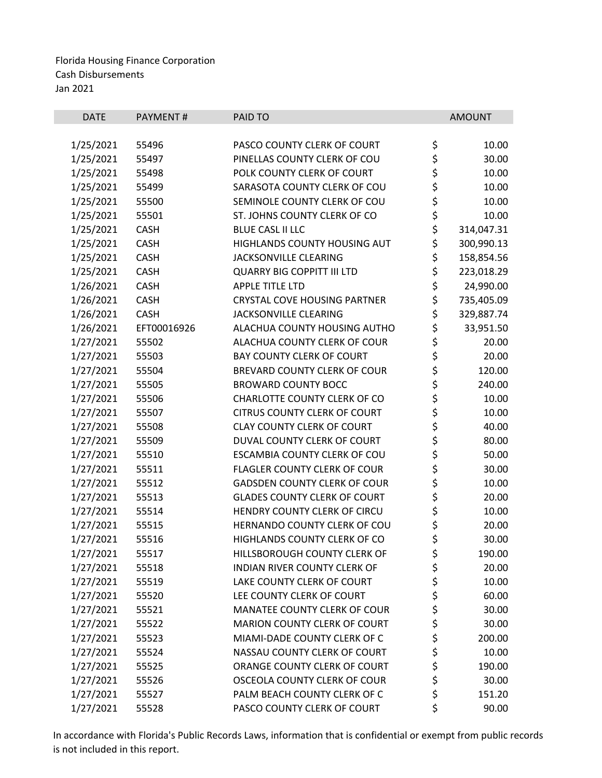| <b>DATE</b> | PAYMENT#    | PAID TO                             |          | <b>AMOUNT</b> |
|-------------|-------------|-------------------------------------|----------|---------------|
|             |             |                                     |          |               |
| 1/25/2021   | 55496       | PASCO COUNTY CLERK OF COURT         | \$       | 10.00         |
| 1/25/2021   | 55497       | PINELLAS COUNTY CLERK OF COU        | \$       | 30.00         |
| 1/25/2021   | 55498       | POLK COUNTY CLERK OF COURT          | \$       | 10.00         |
| 1/25/2021   | 55499       | SARASOTA COUNTY CLERK OF COU        | \$<br>\$ | 10.00         |
| 1/25/2021   | 55500       | SEMINOLE COUNTY CLERK OF COU        |          | 10.00         |
| 1/25/2021   | 55501       | ST. JOHNS COUNTY CLERK OF CO        | \$       | 10.00         |
| 1/25/2021   | CASH        | <b>BLUE CASL II LLC</b>             | \$       | 314,047.31    |
| 1/25/2021   | CASH        | HIGHLANDS COUNTY HOUSING AUT        | \$       | 300,990.13    |
| 1/25/2021   | <b>CASH</b> | JACKSONVILLE CLEARING               | \$       | 158,854.56    |
| 1/25/2021   | <b>CASH</b> | <b>QUARRY BIG COPPITT III LTD</b>   | \$       | 223,018.29    |
| 1/26/2021   | <b>CASH</b> | <b>APPLE TITLE LTD</b>              | \$       | 24,990.00     |
| 1/26/2021   | CASH        | <b>CRYSTAL COVE HOUSING PARTNER</b> | \$       | 735,405.09    |
| 1/26/2021   | <b>CASH</b> | <b>JACKSONVILLE CLEARING</b>        | \$       | 329,887.74    |
| 1/26/2021   | EFT00016926 | ALACHUA COUNTY HOUSING AUTHO        | \$       | 33,951.50     |
| 1/27/2021   | 55502       | ALACHUA COUNTY CLERK OF COUR        | \$       | 20.00         |
| 1/27/2021   | 55503       | <b>BAY COUNTY CLERK OF COURT</b>    | \$       | 20.00         |
| 1/27/2021   | 55504       | BREVARD COUNTY CLERK OF COUR        | \$       | 120.00        |
| 1/27/2021   | 55505       | <b>BROWARD COUNTY BOCC</b>          | \$       | 240.00        |
| 1/27/2021   | 55506       | CHARLOTTE COUNTY CLERK OF CO        | \$<br>\$ | 10.00         |
| 1/27/2021   | 55507       | <b>CITRUS COUNTY CLERK OF COURT</b> |          | 10.00         |
| 1/27/2021   | 55508       | <b>CLAY COUNTY CLERK OF COURT</b>   | \$<br>\$ | 40.00         |
| 1/27/2021   | 55509       | DUVAL COUNTY CLERK OF COURT         |          | 80.00         |
| 1/27/2021   | 55510       | ESCAMBIA COUNTY CLERK OF COU        | \$       | 50.00         |
| 1/27/2021   | 55511       | FLAGLER COUNTY CLERK OF COUR        | \$<br>\$ | 30.00         |
| 1/27/2021   | 55512       | <b>GADSDEN COUNTY CLERK OF COUR</b> |          | 10.00         |
| 1/27/2021   | 55513       | <b>GLADES COUNTY CLERK OF COURT</b> | \$       | 20.00         |
| 1/27/2021   | 55514       | HENDRY COUNTY CLERK OF CIRCU        | \$       | 10.00         |
| 1/27/2021   | 55515       | HERNANDO COUNTY CLERK OF COU        | \$       | 20.00         |
| 1/27/2021   | 55516       | HIGHLANDS COUNTY CLERK OF CO        | \$       | 30.00         |
| 1/27/2021   | 55517       | HILLSBOROUGH COUNTY CLERK OF        | \$       | 190.00        |
| 1/27/2021   | 55518       | INDIAN RIVER COUNTY CLERK OF        | \$       | 20.00         |
| 1/27/2021   | 55519       | LAKE COUNTY CLERK OF COURT          | \$       | 10.00         |
| 1/27/2021   | 55520       | LEE COUNTY CLERK OF COURT           | \$       | 60.00         |
| 1/27/2021   | 55521       | MANATEE COUNTY CLERK OF COUR        | \$       | 30.00         |
| 1/27/2021   | 55522       | MARION COUNTY CLERK OF COURT        | \$       | 30.00         |
| 1/27/2021   | 55523       | MIAMI-DADE COUNTY CLERK OF C        | \$<br>\$ | 200.00        |
| 1/27/2021   | 55524       | NASSAU COUNTY CLERK OF COURT        |          | 10.00         |
| 1/27/2021   | 55525       | ORANGE COUNTY CLERK OF COURT        | \$       | 190.00        |
| 1/27/2021   | 55526       | OSCEOLA COUNTY CLERK OF COUR        | \$       | 30.00         |
| 1/27/2021   | 55527       | PALM BEACH COUNTY CLERK OF C        | \$       | 151.20        |
| 1/27/2021   | 55528       | PASCO COUNTY CLERK OF COURT         | \$       | 90.00         |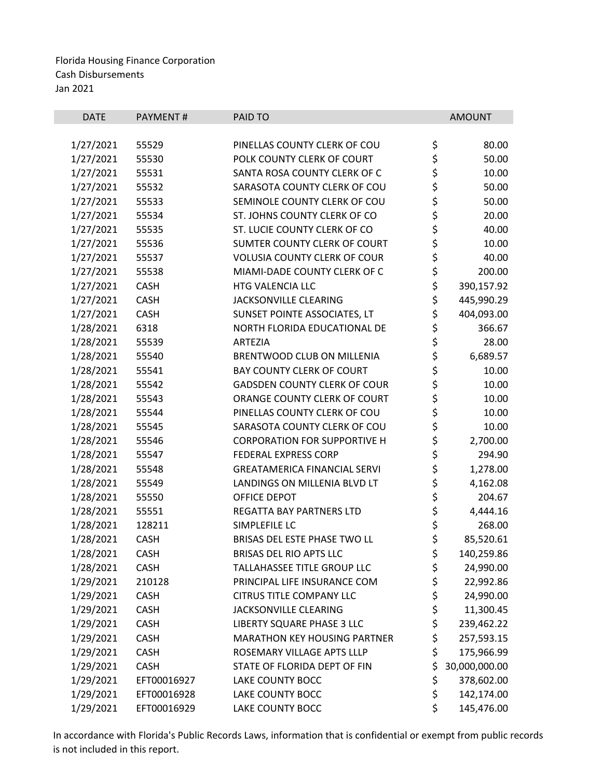| <b>DATE</b> | PAYMENT#    | PAID TO                             |            | <b>AMOUNT</b> |
|-------------|-------------|-------------------------------------|------------|---------------|
|             |             |                                     |            |               |
| 1/27/2021   | 55529       | PINELLAS COUNTY CLERK OF COU        | \$         | 80.00         |
| 1/27/2021   | 55530       | POLK COUNTY CLERK OF COURT          | \$         | 50.00         |
| 1/27/2021   | 55531       | SANTA ROSA COUNTY CLERK OF C        | \$\$\$     | 10.00         |
| 1/27/2021   | 55532       | SARASOTA COUNTY CLERK OF COU        |            | 50.00         |
| 1/27/2021   | 55533       | SEMINOLE COUNTY CLERK OF COU        |            | 50.00         |
| 1/27/2021   | 55534       | ST. JOHNS COUNTY CLERK OF CO        | \$\$\$\$   | 20.00         |
| 1/27/2021   | 55535       | ST. LUCIE COUNTY CLERK OF CO        |            | 40.00         |
| 1/27/2021   | 55536       | SUMTER COUNTY CLERK OF COURT        |            | 10.00         |
| 1/27/2021   | 55537       | <b>VOLUSIA COUNTY CLERK OF COUR</b> |            | 40.00         |
| 1/27/2021   | 55538       | MIAMI-DADE COUNTY CLERK OF C        | \$         | 200.00        |
| 1/27/2021   | <b>CASH</b> | HTG VALENCIA LLC                    | \$         | 390,157.92    |
| 1/27/2021   | CASH        | JACKSONVILLE CLEARING               | \$         | 445,990.29    |
| 1/27/2021   | CASH        | SUNSET POINTE ASSOCIATES, LT        | \$<br>\$   | 404,093.00    |
| 1/28/2021   | 6318        | NORTH FLORIDA EDUCATIONAL DE        |            | 366.67        |
| 1/28/2021   | 55539       | <b>ARTEZIA</b>                      | \$         | 28.00         |
| 1/28/2021   | 55540       | BRENTWOOD CLUB ON MILLENIA          |            | 6,689.57      |
| 1/28/2021   | 55541       | <b>BAY COUNTY CLERK OF COURT</b>    |            | 10.00         |
| 1/28/2021   | 55542       | <b>GADSDEN COUNTY CLERK OF COUR</b> | \$\$\$\$\$ | 10.00         |
| 1/28/2021   | 55543       | ORANGE COUNTY CLERK OF COURT        |            | 10.00         |
| 1/28/2021   | 55544       | PINELLAS COUNTY CLERK OF COU        |            | 10.00         |
| 1/28/2021   | 55545       | SARASOTA COUNTY CLERK OF COU        | \$<br>\$   | 10.00         |
| 1/28/2021   | 55546       | <b>CORPORATION FOR SUPPORTIVE H</b> |            | 2,700.00      |
| 1/28/2021   | 55547       | <b>FEDERAL EXPRESS CORP</b>         | \$\$\$     | 294.90        |
| 1/28/2021   | 55548       | <b>GREATAMERICA FINANCIAL SERVI</b> |            | 1,278.00      |
| 1/28/2021   | 55549       | LANDINGS ON MILLENIA BLVD LT        |            | 4,162.08      |
| 1/28/2021   | 55550       | OFFICE DEPOT                        | \$         | 204.67        |
| 1/28/2021   | 55551       | REGATTA BAY PARTNERS LTD            | \$         | 4,444.16      |
| 1/28/2021   | 128211      | SIMPLEFILE LC                       | \$         | 268.00        |
| 1/28/2021   | <b>CASH</b> | BRISAS DEL ESTE PHASE TWO LL        | \$         | 85,520.61     |
| 1/28/2021   | CASH        | BRISAS DEL RIO APTS LLC             | \$         | 140,259.86    |
| 1/28/2021   | <b>CASH</b> | TALLAHASSEE TITLE GROUP LLC         | \$         | 24,990.00     |
| 1/29/2021   | 210128      | PRINCIPAL LIFE INSURANCE COM        | \$         | 22,992.86     |
| 1/29/2021   | <b>CASH</b> | <b>CITRUS TITLE COMPANY LLC</b>     | \$         | 24,990.00     |
| 1/29/2021   | <b>CASH</b> | JACKSONVILLE CLEARING               | \$         | 11,300.45     |
| 1/29/2021   | CASH        | LIBERTY SQUARE PHASE 3 LLC          | \$         | 239,462.22    |
| 1/29/2021   | <b>CASH</b> | <b>MARATHON KEY HOUSING PARTNER</b> | \$         | 257,593.15    |
| 1/29/2021   | <b>CASH</b> | ROSEMARY VILLAGE APTS LLLP          | \$         | 175,966.99    |
| 1/29/2021   | <b>CASH</b> | STATE OF FLORIDA DEPT OF FIN        | \$         | 30,000,000.00 |
| 1/29/2021   | EFT00016927 | LAKE COUNTY BOCC                    | \$         | 378,602.00    |
| 1/29/2021   | EFT00016928 | LAKE COUNTY BOCC                    | \$         | 142,174.00    |
| 1/29/2021   | EFT00016929 | LAKE COUNTY BOCC                    | \$         | 145,476.00    |